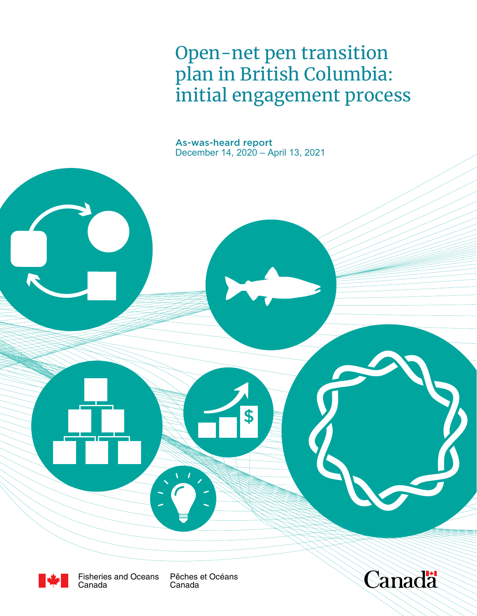Open-net pen transition plan in British Columbia: initial engagement process

As-was-heard report December 14, 2020 – April 13, 2021

\$



Fisheries and Oceans Canada

Pêches et Océans Canada

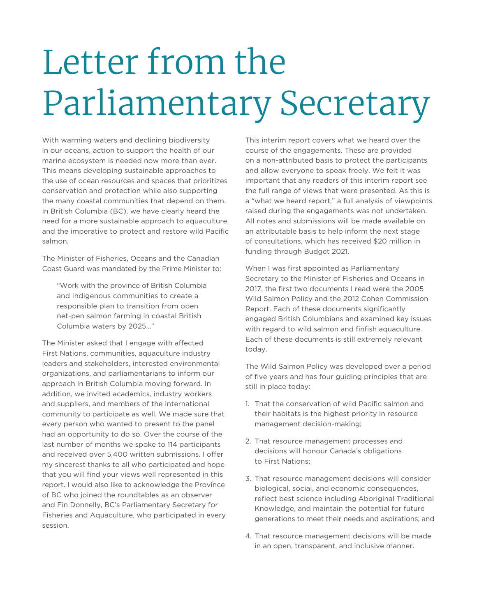# Letter from the Parliamentary Secretary

With warming waters and declining biodiversity in our oceans, action to support the health of our marine ecosystem is needed now more than ever. This means developing sustainable approaches to the use of ocean resources and spaces that prioritizes conservation and protection while also supporting the many coastal communities that depend on them. In British Columbia (BC), we have clearly heard the need for a more sustainable approach to aquaculture, and the imperative to protect and restore wild Pacific salmon.

The Minister of Fisheries, Oceans and the Canadian Coast Guard was mandated by the Prime Minister to:

"Work with the province of British Columbia and Indigenous communities to create a responsible plan to transition from open net-pen salmon farming in coastal British Columbia waters by 2025…"

The Minister asked that I engage with affected First Nations, communities, aquaculture industry leaders and stakeholders, interested environmental organizations, and parliamentarians to inform our approach in British Columbia moving forward. In addition, we invited academics, industry workers and suppliers, and members of the international community to participate as well. We made sure that every person who wanted to present to the panel had an opportunity to do so. Over the course of the last number of months we spoke to 114 participants and received over 5,400 written submissions. I offer my sincerest thanks to all who participated and hope that you will find your views well represented in this report. I would also like to acknowledge the Province of BC who joined the roundtables as an observer and Fin Donnelly, BC's Parliamentary Secretary for Fisheries and Aquaculture, who participated in every session.

This interim report covers what we heard over the course of the engagements. These are provided on a non-attributed basis to protect the participants and allow everyone to speak freely. We felt it was important that any readers of this interim report see the full range of views that were presented. As this is a "what we heard report," a full analysis of viewpoints raised during the engagements was not undertaken. All notes and submissions will be made available on an attributable basis to help inform the next stage of consultations, which has received \$20 million in funding through Budget 2021.

When I was first appointed as Parliamentary Secretary to the Minister of Fisheries and Oceans in 2017, the first two documents I read were the 2005 Wild Salmon Policy and the 2012 Cohen Commission Report. Each of these documents significantly engaged British Columbians and examined key issues with regard to wild salmon and finfish aquaculture. Each of these documents is still extremely relevant today.

The Wild Salmon Policy was developed over a period of five years and has four guiding principles that are still in place today:

- 1. That the conservation of wild Pacific salmon and their habitats is the highest priority in resource management decision-making;
- 2. That resource management processes and decisions will honour Canada's obligations to First Nations;
- 3. That resource management decisions will consider biological, social, and economic consequences, reflect best science including Aboriginal Traditional Knowledge, and maintain the potential for future generations to meet their needs and aspirations; and
- 4. That resource management decisions will be made in an open, transparent, and inclusive manner.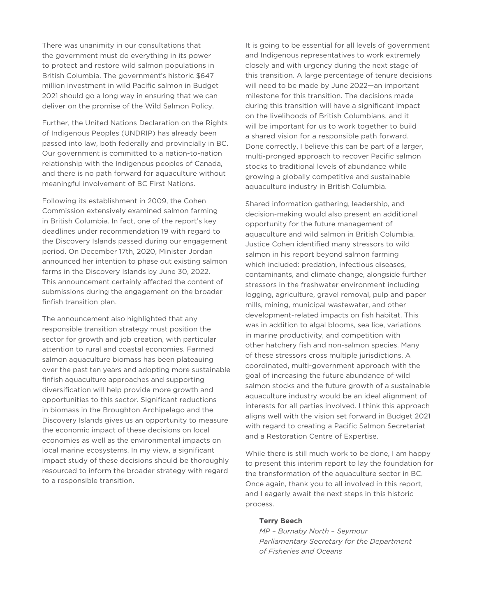There was unanimity in our consultations that the government must do everything in its power to protect and restore wild salmon populations in British Columbia. The government's historic \$647 million investment in wild Pacific salmon in Budget 2021 should go a long way in ensuring that we can deliver on the promise of the Wild Salmon Policy.

Further, the United Nations Declaration on the Rights of Indigenous Peoples (UNDRIP) has already been passed into law, both federally and provincially in BC. Our government is committed to a nation-to-nation relationship with the Indigenous peoples of Canada, and there is no path forward for aquaculture without meaningful involvement of BC First Nations.

Following its establishment in 2009, the Cohen Commission extensively examined salmon farming in British Columbia. In fact, one of the report's key deadlines under recommendation 19 with regard to the Discovery Islands passed during our engagement period. On December 17th, 2020, Minister Jordan announced her intention to phase out existing salmon farms in the Discovery Islands by June 30, 2022. This announcement certainly affected the content of submissions during the engagement on the broader finfish transition plan.

The announcement also highlighted that any responsible transition strategy must position the sector for growth and job creation, with particular attention to rural and coastal economies. Farmed salmon aquaculture biomass has been plateauing over the past ten years and adopting more sustainable finfish aquaculture approaches and supporting diversification will help provide more growth and opportunities to this sector. Significant reductions in biomass in the Broughton Archipelago and the Discovery Islands gives us an opportunity to measure the economic impact of these decisions on local economies as well as the environmental impacts on local marine ecosystems. In my view, a significant impact study of these decisions should be thoroughly resourced to inform the broader strategy with regard to a responsible transition.

It is going to be essential for all levels of government and Indigenous representatives to work extremely closely and with urgency during the next stage of this transition. A large percentage of tenure decisions will need to be made by June 2022—an important milestone for this transition. The decisions made during this transition will have a significant impact on the livelihoods of British Columbians, and it will be important for us to work together to build a shared vision for a responsible path forward. Done correctly, I believe this can be part of a larger, multi-pronged approach to recover Pacific salmon stocks to traditional levels of abundance while growing a globally competitive and sustainable aquaculture industry in British Columbia.

Shared information gathering, leadership, and decision-making would also present an additional opportunity for the future management of aquaculture and wild salmon in British Columbia. Justice Cohen identified many stressors to wild salmon in his report beyond salmon farming which included: predation, infectious diseases, contaminants, and climate change, alongside further stressors in the freshwater environment including logging, agriculture, gravel removal, pulp and paper mills, mining, municipal wastewater, and other development-related impacts on fish habitat. This was in addition to algal blooms, sea lice, variations in marine productivity, and competition with other hatchery fish and non-salmon species. Many of these stressors cross multiple jurisdictions. A coordinated, multi-government approach with the goal of increasing the future abundance of wild salmon stocks and the future growth of a sustainable aquaculture industry would be an ideal alignment of interests for all parties involved. I think this approach aligns well with the vision set forward in Budget 2021 with regard to creating a Pacific Salmon Secretariat and a Restoration Centre of Expertise.

While there is still much work to be done, I am happy to present this interim report to lay the foundation for the transformation of the aquaculture sector in BC. Once again, thank you to all involved in this report, and I eagerly await the next steps in this historic process.

#### **Terry Beech**

*MP – Burnaby North – Seymour Parliamentary Secretary for the Department of Fisheries and Oceans*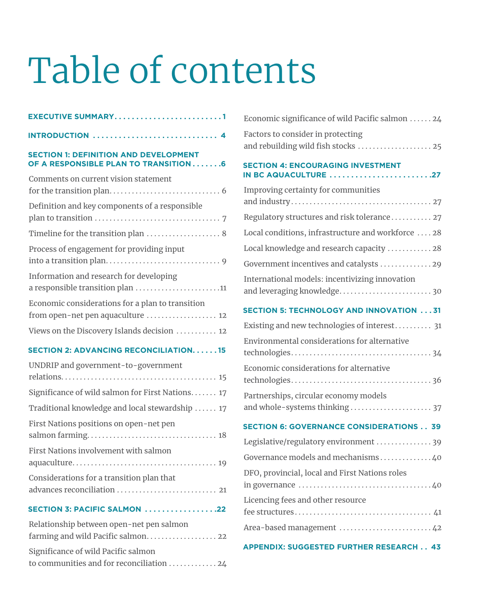# Table of contents

| EXECUTIVE SUMMARY1                                                                    |
|---------------------------------------------------------------------------------------|
| <b>INTRODUCTION</b> 4                                                                 |
| <b>SECTION 1: DEFINITION AND DEVELOPMENT</b><br>OF A RESPONSIBLE PLAN TO TRANSITION6  |
| Comments on current vision statement                                                  |
| Definition and key components of a responsible                                        |
| Timeline for the transition plan  8                                                   |
| Process of engagement for providing input                                             |
| Information and research for developing<br>a responsible transition plan 11           |
| Economic considerations for a plan to transition<br>from open-net pen aquaculture  12 |
| Views on the Discovery Islands decision  12                                           |
| <b>SECTION 2: ADVANCING RECONCILIATION15</b>                                          |
| UNDRIP and government-to-government                                                   |
| Significance of wild salmon for First Nations 17                                      |
| Traditional knowledge and local stewardship  17                                       |
| First Nations positions on open-net pen                                               |
| First Nations involvement with salmon                                                 |
| Considerations for a transition plan that<br>advances reconciliation  21              |

**SECTION 3: PACIFIC SALMON . . . . . . . . . . . . . . . . 22**

| Relationship between open-net pen salmon                               |
|------------------------------------------------------------------------|
|                                                                        |
| Significance of wild Pacific salmon                                    |
| to communities and for reconciliation $\ldots \ldots \ldots \ldots$ 24 |

| Economic significance of wild Pacific salmon  24                              |
|-------------------------------------------------------------------------------|
| Factors to consider in protecting<br>and rebuilding wild fish stocks  25      |
| <b>SECTION 4: ENCOURAGING INVESTMENT</b><br>IN BC AQUACULTURE 27              |
| Improving certainty for communities                                           |
| Regulatory structures and risk tolerance 27                                   |
| Local conditions, infrastructure and workforce  28                            |
| Local knowledge and research capacity  28                                     |
| Government incentives and catalysts 29                                        |
| International models: incentivizing innovation<br>and leveraging knowledge 30 |
| <b>SECTION 5: TECHNOLOGY AND INNOVATION 31</b>                                |
| Existing and new technologies of interest 31                                  |
| Environmental considerations for alternative                                  |
| Economic considerations for alternative                                       |
| Partnerships, circular economy models                                         |
| <b>SECTION 6: GOVERNANCE CONSIDERATIONS 39</b>                                |
| Legislative/regulatory environment  39                                        |
| Governance models and mechanisms 40                                           |
| DFO, provincial, local and First Nations roles                                |
| Licencing fees and other resource                                             |
| Area-based management  42                                                     |
|                                                                               |

#### **APPENDIX: SUGGESTED FURTHER RESEARCH . . 43**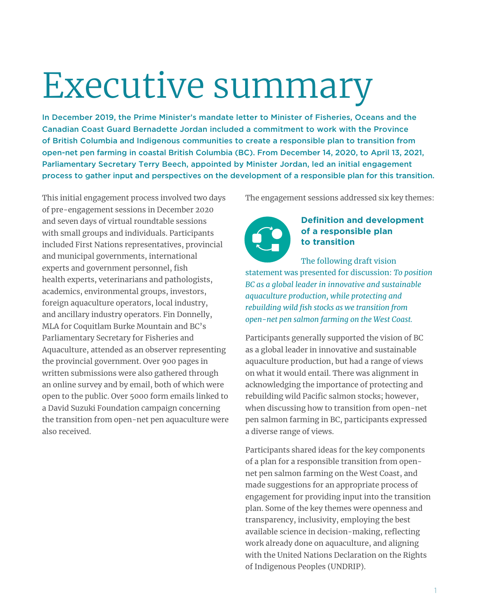# Executive summary

In December 2019, the Prime Minister's mandate letter to Minister of Fisheries, Oceans and the Canadian Coast Guard Bernadette Jordan included a commitment to work with the Province of British Columbia and Indigenous communities to create a responsible plan to transition from open-net pen farming in coastal British Columbia (BC). From December 14, 2020, to April 13, 2021, Parliamentary Secretary Terry Beech, appointed by Minister Jordan, led an initial engagement process to gather input and perspectives on the development of a responsible plan for this transition.

This initial engagement process involved two days of pre-engagement sessions in December 2020 and seven days of virtual roundtable sessions with small groups and individuals. Participants included First Nations representatives, provincial and municipal governments, international experts and government personnel, fish health experts, veterinarians and pathologists, academics, environmental groups, investors, foreign aquaculture operators, local industry, and ancillary industry operators. Fin Donnelly, MLA for Coquitlam Burke Mountain and BC's Parliamentary Secretary for Fisheries and Aquaculture, attended as an observer representing the provincial government. Over 900 pages in written submissions were also gathered through an online survey and by email, both of which were open to the public. Over 5000 form emails linked to a David Suzuki Foundation campaign concerning the transition from open-net pen aquaculture were also received.

The engagement sessions addressed six key themes:



#### **Definition and development of a responsible plan to transition**

The following draft vision statement was presented for discussion: *To position BC as a global leader in innovative and sustainable aquaculture production, while protecting and rebuilding wild fish stocks as we transition from open-net pen salmon farming on the West Coast.*

Participants generally supported the vision of BC as a global leader in innovative and sustainable aquaculture production, but had a range of views on what it would entail. There was alignment in acknowledging the importance of protecting and rebuilding wild Pacific salmon stocks; however, when discussing how to transition from open-net pen salmon farming in BC, participants expressed a diverse range of views.

Participants shared ideas for the key components of a plan for a responsible transition from opennet pen salmon farming on the West Coast, and made suggestions for an appropriate process of engagement for providing input into the transition plan. Some of the key themes were openness and transparency, inclusivity, employing the best available science in decision-making, reflecting work already done on aquaculture, and aligning with the United Nations Declaration on the Rights of Indigenous Peoples (UNDRIP).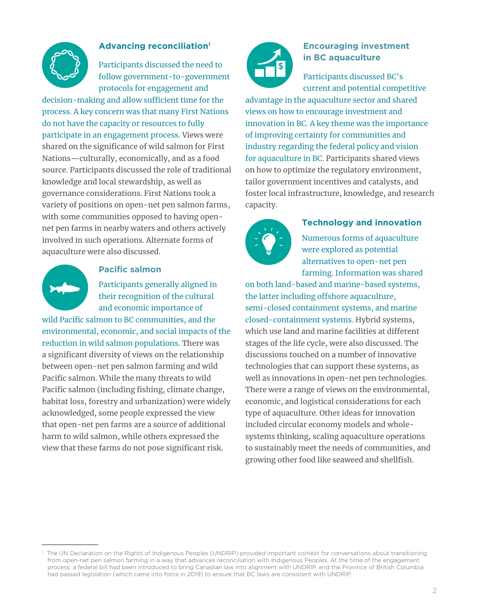

#### **Advancing reconciliation1**

Participants discussed the need to follow government-to-government protocols for engagement and

decision-making and allow sufficient time for the process. A key concern was that many First Nations do not have the capacity or resources to fully participate in an engagement process. Views were shared on the significance of wild salmon for First Nations—culturally, economically, and as a food source. Participants discussed the role of traditional knowledge and local stewardship, as well as governance considerations. First Nations took a variety of positions on open-net pen salmon farms, with some communities opposed to having opennet pen farms in nearby waters and others actively involved in such operations. Alternate forms of aquaculture were also discussed.



#### **Pacific salmon**

Participants generally aligned in their recognition of the cultural and economic importance of

wild Pacific salmon to BC communities, and the environmental, economic, and social impacts of the reduction in wild salmon populations. There was a significant diversity of views on the relationship between open-net pen salmon farming and wild Pacific salmon. While the many threats to wild Pacific salmon (including fishing, climate change, habitat loss, forestry and urbanization) were widely acknowledged, some people expressed the view that open-net pen farms are a source of additional harm to wild salmon, while others expressed the view that these farms do not pose significant risk.



### **Encouraging investment in BC aquaculture**

Participants discussed BC's current and potential competitive

advantage in the aquaculture sector and shared views on how to encourage investment and innovation in BC. A key theme was the importance of improving certainty for communities and industry regarding the federal policy and vision for aquaculture in BC. Participants shared views on how to optimize the regulatory environment, tailor government incentives and catalysts, and foster local infrastructure, knowledge, and research capacity.



#### **Technology and innovation**

Numerous forms of aquaculture were explored as potential alternatives to open-net pen farming. Information was shared

on both land-based and marine-based systems, the latter including offshore aquaculture, semi-closed containment systems, and marine closed-containment systems. Hybrid systems, which use land and marine facilities at different stages of the life cycle, were also discussed. The discussions touched on a number of innovative technologies that can support these systems, as well as innovations in open-net pen technologies. There were a range of views on the environmental, economic, and logistical considerations for each type of aquaculture. Other ideas for innovation included circular economy models and wholesystems thinking, scaling aquaculture operations to sustainably meet the needs of communities, and growing other food like seaweed and shellfish.

<sup>&</sup>lt;sup>1</sup> The UN Declaration on the Rights of Indigenous Peoples (UNDRIP) provided important context for conversations about transitioning from open-net pen salmon farming in a way that advances reconciliation with Indigenous Peoples. At the time of the engagement process, a federal bill had been introduced to bring Canadian law into alignment with UNDRIP, and the Province of British Columbia had passed legislation (which came into force in 2019) to ensure that BC laws are consistent with UNDRIP.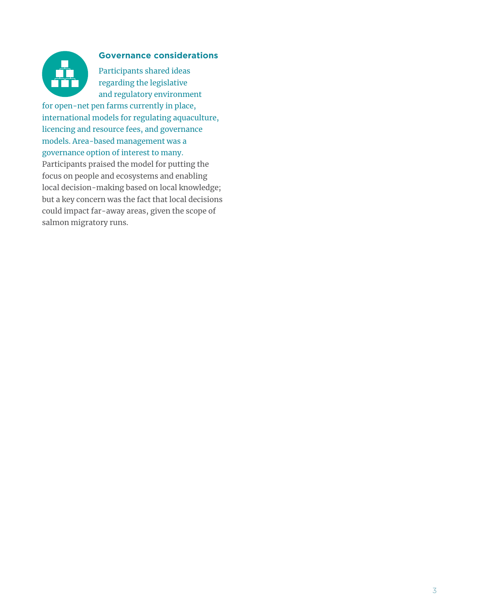

#### **Governance considerations**

Participants shared ideas regarding the legislative and regulatory environment

for open-net pen farms currently in place, international models for regulating aquaculture, licencing and resource fees, and governance models. Area-based management was a governance option of interest to many.

Participants praised the model for putting the focus on people and ecosystems and enabling local decision-making based on local knowledge; but a key concern was the fact that local decisions could impact far-away areas, given the scope of salmon migratory runs.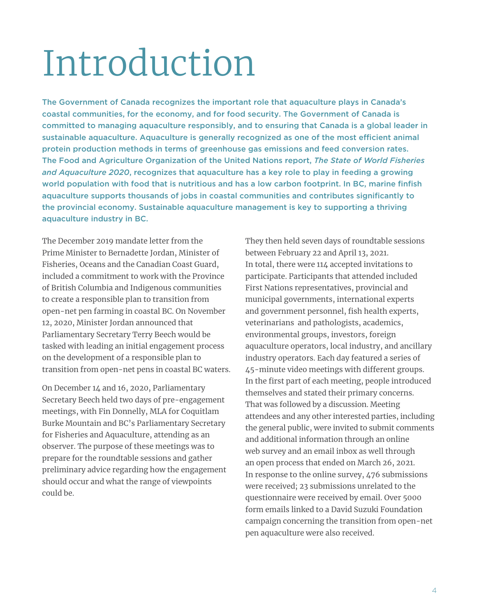# Introduction

The Government of Canada recognizes the important role that aquaculture plays in Canada's coastal communities, for the economy, and for food security. The Government of Canada is committed to managing aquaculture responsibly, and to ensuring that Canada is a global leader in sustainable aquaculture. Aquaculture is generally recognized as one of the most efficient animal protein production methods in terms of greenhouse gas emissions and feed conversion rates. The Food and Agriculture Organization of the United Nations report, *The State of World Fisheries and Aquaculture 2020*, recognizes that aquaculture has a key role to play in feeding a growing world population with food that is nutritious and has a low carbon footprint. In BC, marine finfish aquaculture supports thousands of jobs in coastal communities and contributes significantly to the provincial economy. Sustainable aquaculture management is key to supporting a thriving aquaculture industry in BC.

The December 2019 mandate letter from the Prime Minister to Bernadette Jordan, Minister of Fisheries, Oceans and the Canadian Coast Guard, included a commitment to work with the Province of British Columbia and Indigenous communities to create a responsible plan to transition from open-net pen farming in coastal BC. On November 12, 2020, Minister Jordan announced that Parliamentary Secretary Terry Beech would be tasked with leading an initial engagement process on the development of a responsible plan to transition from open-net pens in coastal BC waters.

On December 14 and 16, 2020, Parliamentary Secretary Beech held two days of pre-engagement meetings, with Fin Donnelly, MLA for Coquitlam Burke Mountain and BC's Parliamentary Secretary for Fisheries and Aquaculture, attending as an observer. The purpose of these meetings was to prepare for the roundtable sessions and gather preliminary advice regarding how the engagement should occur and what the range of viewpoints could be.

They then held seven days of roundtable sessions between February 22 and April 13, 2021. In total, there were 114 accepted invitations to participate. Participants that attended included First Nations representatives, provincial and municipal governments, international experts and government personnel, fish health experts, veterinarians and pathologists, academics, environmental groups, investors, foreign aquaculture operators, local industry, and ancillary industry operators. Each day featured a series of 45-minute video meetings with different groups. In the first part of each meeting, people introduced themselves and stated their primary concerns. That was followed by a discussion. Meeting attendees and any other interested parties, including the general public, were invited to submit comments and additional information through an online web survey and an email inbox as well through an open process that ended on March 26, 2021. In response to the online survey, 476 submissions were received; 23 submissions unrelated to the questionnaire were received by email. Over 5000 form emails linked to a David Suzuki Foundation campaign concerning the transition from open-net pen aquaculture were also received.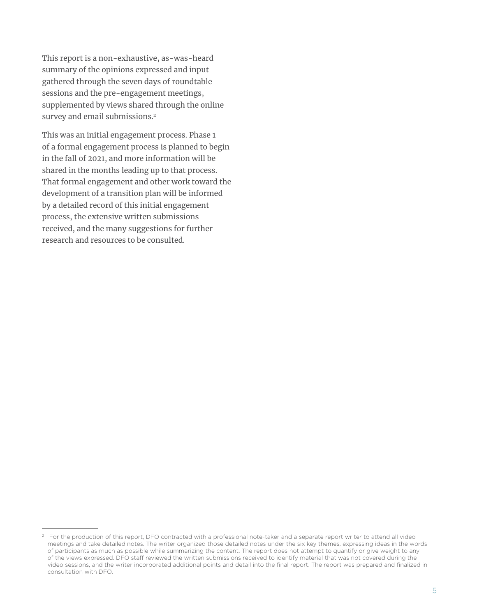This report is a non-exhaustive, as-was-heard summary of the opinions expressed and input gathered through the seven days of roundtable sessions and the pre-engagement meetings, supplemented by views shared through the online survey and email submissions. 2

This was an initial engagement process. Phase 1 of a formal engagement process is planned to begin in the fall of 2021, and more information will be shared in the months leading up to that process. That formal engagement and other work toward the development of a transition plan will be informed by a detailed record of this initial engagement process, the extensive written submissions received, and the many suggestions for further research and resources to be consulted.

<sup>&</sup>lt;sup>2</sup> For the production of this report, DFO contracted with a professional note-taker and a separate report writer to attend all video meetings and take detailed notes. The writer organized those detailed notes under the six key themes, expressing ideas in the words of participants as much as possible while summarizing the content. The report does not attempt to quantify or give weight to any of the views expressed. DFO staff reviewed the written submissions received to identify material that was not covered during the video sessions, and the writer incorporated additional points and detail into the final report. The report was prepared and finalized in consultation with DFO.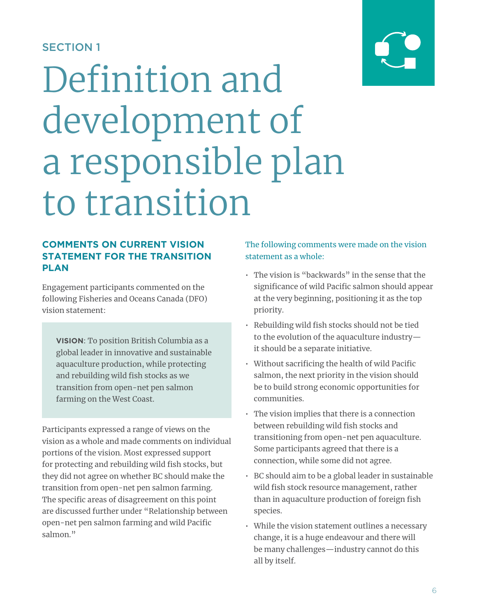# SECTION 1

# Definition and development of a responsible plan to transition

# **COMMENTS ON CURRENT VISION STATEMENT FOR THE TRANSITION PLAN**

Engagement participants commented on the following Fisheries and Oceans Canada (DFO) vision statement:

**VISION**: To position British Columbia as a global leader in innovative and sustainable aquaculture production, while protecting and rebuilding wild fish stocks as we transition from open-net pen salmon farming on the West Coast.

Participants expressed a range of views on the vision as a whole and made comments on individual portions of the vision. Most expressed support for protecting and rebuilding wild fish stocks, but they did not agree on whether BC should make the transition from open-net pen salmon farming. The specific areas of disagreement on this point are discussed further under "Relationship between open-net pen salmon farming and wild Pacific salmon."

# The following comments were made on the vision statement as a whole:

- The vision is "backwards" in the sense that the significance of wild Pacific salmon should appear at the very beginning, positioning it as the top priority.
- Rebuilding wild fish stocks should not be tied to the evolution of the aquaculture industry it should be a separate initiative.
- Without sacrificing the health of wild Pacific salmon, the next priority in the vision should be to build strong economic opportunities for communities.
- The vision implies that there is a connection between rebuilding wild fish stocks and transitioning from open-net pen aquaculture. Some participants agreed that there is a connection, while some did not agree.
- BC should aim to be a global leader in sustainable wild fish stock resource management, rather than in aquaculture production of foreign fish species.
- While the vision statement outlines a necessary change, it is a huge endeavour and there will be many challenges—industry cannot do this all by itself.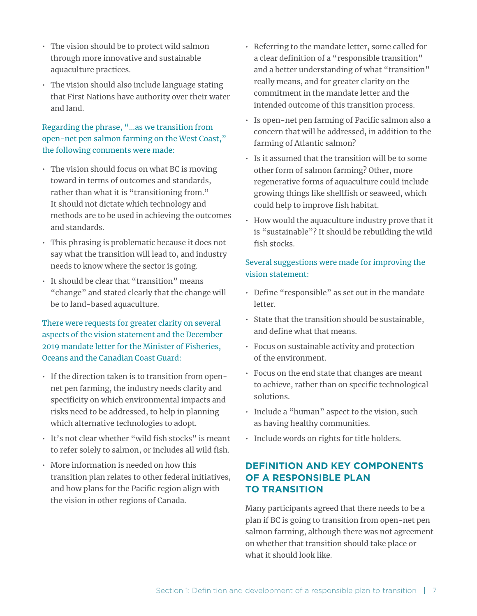- The vision should be to protect wild salmon through more innovative and sustainable aquaculture practices.
- The vision should also include language stating that First Nations have authority over their water and land.

# Regarding the phrase, "…as we transition from open-net pen salmon farming on the West Coast," the following comments were made:

- The vision should focus on what BC is moving toward in terms of outcomes and standards, rather than what it is "transitioning from." It should not dictate which technology and methods are to be used in achieving the outcomes and standards.
- This phrasing is problematic because it does not say what the transition will lead to, and industry needs to know where the sector is going.
- It should be clear that "transition" means "change" and stated clearly that the change will be to land-based aquaculture.

# There were requests for greater clarity on several aspects of the vision statement and the December 2019 mandate letter for the Minister of Fisheries, Oceans and the Canadian Coast Guard:

- If the direction taken is to transition from opennet pen farming, the industry needs clarity and specificity on which environmental impacts and risks need to be addressed, to help in planning which alternative technologies to adopt.
- It's not clear whether "wild fish stocks" is meant to refer solely to salmon, or includes all wild fish.
- More information is needed on how this transition plan relates to other federal initiatives, and how plans for the Pacific region align with the vision in other regions of Canada.
- Referring to the mandate letter, some called for a clear definition of a "responsible transition" and a better understanding of what "transition" really means, and for greater clarity on the commitment in the mandate letter and the intended outcome of this transition process.
- Is open-net pen farming of Pacific salmon also a concern that will be addressed, in addition to the farming of Atlantic salmon?
- Is it assumed that the transition will be to some other form of salmon farming? Other, more regenerative forms of aquaculture could include growing things like shellfish or seaweed, which could help to improve fish habitat.
- How would the aquaculture industry prove that it is "sustainable"? It should be rebuilding the wild fish stocks.

# Several suggestions were made for improving the vision statement:

- Define "responsible" as set out in the mandate letter.
- State that the transition should be sustainable, and define what that means.
- Focus on sustainable activity and protection of the environment.
- Focus on the end state that changes are meant to achieve, rather than on specific technological solutions.
- Include a "human" aspect to the vision, such as having healthy communities.
- Include words on rights for title holders.

# **DEFINITION AND KEY COMPONENTS OF A RESPONSIBLE PLAN TO TRANSITION**

Many participants agreed that there needs to be a plan if BC is going to transition from open-net pen salmon farming, although there was not agreement on whether that transition should take place or what it should look like.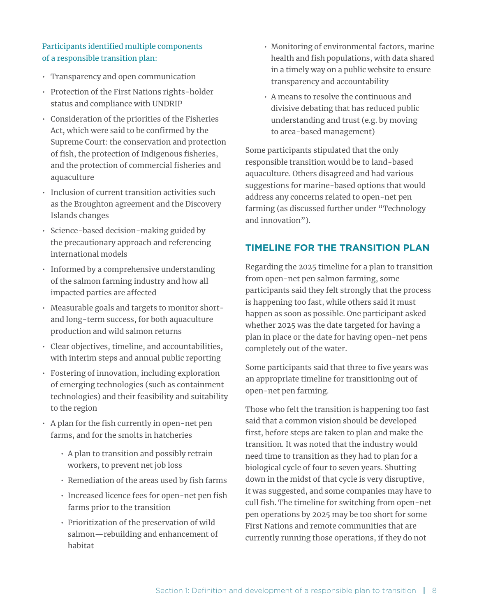### Participants identified multiple components of a responsible transition plan:

- Transparency and open communication
- Protection of the First Nations rights-holder status and compliance with UNDRIP
- Consideration of the priorities of the Fisheries Act, which were said to be confirmed by the Supreme Court: the conservation and protection of fish, the protection of Indigenous fisheries, and the protection of commercial fisheries and aquaculture
- Inclusion of current transition activities such as the Broughton agreement and the Discovery Islands changes
- Science-based decision-making guided by the precautionary approach and referencing international models
- Informed by a comprehensive understanding of the salmon farming industry and how all impacted parties are affected
- Measurable goals and targets to monitor shortand long-term success, for both aquaculture production and wild salmon returns
- Clear objectives, timeline, and accountabilities, with interim steps and annual public reporting
- Fostering of innovation, including exploration of emerging technologies (such as containment technologies) and their feasibility and suitability to the region
- A plan for the fish currently in open-net pen farms, and for the smolts in hatcheries
	- A plan to transition and possibly retrain workers, to prevent net job loss
	- Remediation of the areas used by fish farms
	- Increased licence fees for open-net pen fish farms prior to the transition
	- Prioritization of the preservation of wild salmon—rebuilding and enhancement of habitat
- Monitoring of environmental factors, marine health and fish populations, with data shared in a timely way on a public website to ensure transparency and accountability
- A means to resolve the continuous and divisive debating that has reduced public understanding and trust (e.g. by moving to area-based management)

Some participants stipulated that the only responsible transition would be to land-based aquaculture. Others disagreed and had various suggestions for marine-based options that would address any concerns related to open-net pen farming (as discussed further under "Technology and innovation").

# **TIMELINE FOR THE TRANSITION PLAN**

Regarding the 2025 timeline for a plan to transition from open-net pen salmon farming, some participants said they felt strongly that the process is happening too fast, while others said it must happen as soon as possible. One participant asked whether 2025 was the date targeted for having a plan in place or the date for having open-net pens completely out of the water.

Some participants said that three to five years was an appropriate timeline for transitioning out of open-net pen farming.

Those who felt the transition is happening too fast said that a common vision should be developed first, before steps are taken to plan and make the transition. It was noted that the industry would need time to transition as they had to plan for a biological cycle of four to seven years. Shutting down in the midst of that cycle is very disruptive, it was suggested, and some companies may have to cull fish. The timeline for switching from open-net pen operations by 2025 may be too short for some First Nations and remote communities that are currently running those operations, if they do not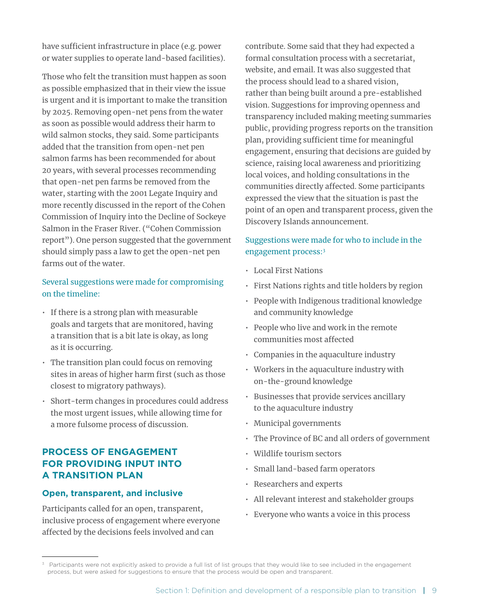have sufficient infrastructure in place (e.g. power or water supplies to operate land-based facilities).

Those who felt the transition must happen as soon as possible emphasized that in their view the issue is urgent and it is important to make the transition by 2025. Removing open-net pens from the water as soon as possible would address their harm to wild salmon stocks, they said. Some participants added that the transition from open-net pen salmon farms has been recommended for about 20 years, with several processes recommending that open-net pen farms be removed from the water, starting with the 2001 Legate Inquiry and more recently discussed in the report of the Cohen Commission of Inquiry into the Decline of Sockeye Salmon in the Fraser River. ("Cohen Commission report"). One person suggested that the government should simply pass a law to get the open-net pen farms out of the water.

### Several suggestions were made for compromising on the timeline:

- If there is a strong plan with measurable goals and targets that are monitored, having a transition that is a bit late is okay, as long as it is occurring.
- The transition plan could focus on removing sites in areas of higher harm first (such as those closest to migratory pathways).
- Short-term changes in procedures could address the most urgent issues, while allowing time for a more fulsome process of discussion.

# **PROCESS OF ENGAGEMENT FOR PROVIDING INPUT INTO A TRANSITION PLAN**

#### **Open, transparent, and inclusive**

Participants called for an open, transparent, inclusive process of engagement where everyone affected by the decisions feels involved and can

contribute. Some said that they had expected a formal consultation process with a secretariat, website, and email. It was also suggested that the process should lead to a shared vision, rather than being built around a pre-established vision. Suggestions for improving openness and transparency included making meeting summaries public, providing progress reports on the transition plan, providing sufficient time for meaningful engagement, ensuring that decisions are guided by science, raising local awareness and prioritizing local voices, and holding consultations in the communities directly affected. Some participants expressed the view that the situation is past the point of an open and transparent process, given the Discovery Islands announcement.

# Suggestions were made for who to include in the engagement process:3

- Local First Nations
- First Nations rights and title holders by region
- People with Indigenous traditional knowledge and community knowledge
- People who live and work in the remote communities most affected
- Companies in the aquaculture industry
- Workers in the aquaculture industry with on-the-ground knowledge
- Businesses that provide services ancillary to the aquaculture industry
- Municipal governments
- The Province of BC and all orders of government
- Wildlife tourism sectors
- Small land-based farm operators
- Researchers and experts
- All relevant interest and stakeholder groups
- Everyone who wants a voice in this process

<sup>&</sup>lt;sup>3</sup> Participants were not explicitly asked to provide a full list of list groups that they would like to see included in the engagement process, but were asked for suggestions to ensure that the process would be open and transparent.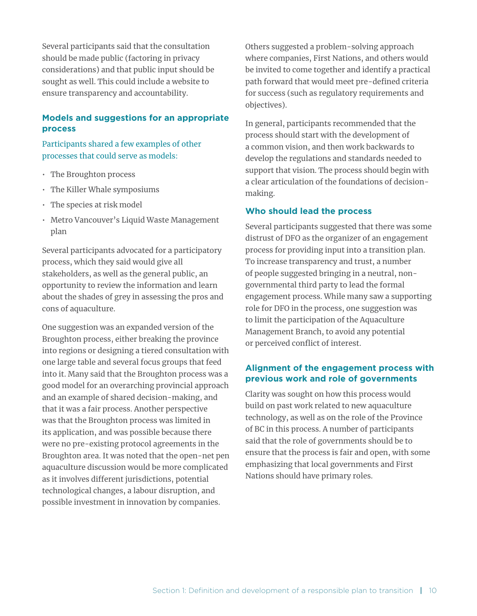Several participants said that the consultation should be made public (factoring in privacy considerations) and that public input should be sought as well. This could include a website to ensure transparency and accountability.

#### **Models and suggestions for an appropriate process**

Participants shared a few examples of other processes that could serve as models:

- The Broughton process
- The Killer Whale symposiums
- The species at risk model
- Metro Vancouver's Liquid Waste Management plan

Several participants advocated for a participatory process, which they said would give all stakeholders, as well as the general public, an opportunity to review the information and learn about the shades of grey in assessing the pros and cons of aquaculture.

One suggestion was an expanded version of the Broughton process, either breaking the province into regions or designing a tiered consultation with one large table and several focus groups that feed into it. Many said that the Broughton process was a good model for an overarching provincial approach and an example of shared decision-making, and that it was a fair process. Another perspective was that the Broughton process was limited in its application, and was possible because there were no pre-existing protocol agreements in the Broughton area. It was noted that the open-net pen aquaculture discussion would be more complicated as it involves different jurisdictions, potential technological changes, a labour disruption, and possible investment in innovation by companies.

Others suggested a problem-solving approach where companies, First Nations, and others would be invited to come together and identify a practical path forward that would meet pre-defined criteria for success (such as regulatory requirements and objectives).

In general, participants recommended that the process should start with the development of a common vision, and then work backwards to develop the regulations and standards needed to support that vision. The process should begin with a clear articulation of the foundations of decisionmaking.

#### **Who should lead the process**

Several participants suggested that there was some distrust of DFO as the organizer of an engagement process for providing input into a transition plan. To increase transparency and trust, a number of people suggested bringing in a neutral, nongovernmental third party to lead the formal engagement process. While many saw a supporting role for DFO in the process, one suggestion was to limit the participation of the Aquaculture Management Branch, to avoid any potential or perceived conflict of interest.

#### **Alignment of the engagement process with previous work and role of governments**

Clarity was sought on how this process would build on past work related to new aquaculture technology, as well as on the role of the Province of BC in this process. A number of participants said that the role of governments should be to ensure that the process is fair and open, with some emphasizing that local governments and First Nations should have primary roles.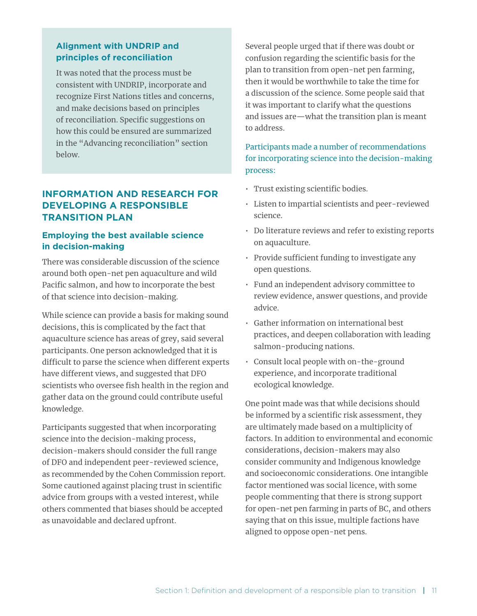### **Alignment with UNDRIP and principles of reconciliation**

It was noted that the process must be consistent with UNDRIP, incorporate and recognize First Nations titles and concerns, and make decisions based on principles of reconciliation. Specific suggestions on how this could be ensured are summarized in the "Advancing reconciliation" section below.

# **INFORMATION AND RESEARCH FOR DEVELOPING A RESPONSIBLE TRANSITION PLAN**

#### **Employing the best available science in decision-making**

There was considerable discussion of the science around both open-net pen aquaculture and wild Pacific salmon, and how to incorporate the best of that science into decision-making.

While science can provide a basis for making sound decisions, this is complicated by the fact that aquaculture science has areas of grey, said several participants. One person acknowledged that it is difficult to parse the science when different experts have different views, and suggested that DFO scientists who oversee fish health in the region and gather data on the ground could contribute useful knowledge.

Participants suggested that when incorporating science into the decision-making process, decision-makers should consider the full range of DFO and independent peer-reviewed science, as recommended by the Cohen Commission report. Some cautioned against placing trust in scientific advice from groups with a vested interest, while others commented that biases should be accepted as unavoidable and declared upfront.

Several people urged that if there was doubt or confusion regarding the scientific basis for the plan to transition from open-net pen farming, then it would be worthwhile to take the time for a discussion of the science. Some people said that it was important to clarify what the questions and issues are—what the transition plan is meant to address.

# Participants made a number of recommendations for incorporating science into the decision-making process:

- Trust existing scientific bodies.
- Listen to impartial scientists and peer-reviewed science.
- Do literature reviews and refer to existing reports on aquaculture.
- Provide sufficient funding to investigate any open questions.
- Fund an independent advisory committee to review evidence, answer questions, and provide advice.
- Gather information on international best practices, and deepen collaboration with leading salmon-producing nations.
- Consult local people with on-the-ground experience, and incorporate traditional ecological knowledge.

One point made was that while decisions should be informed by a scientific risk assessment, they are ultimately made based on a multiplicity of factors. In addition to environmental and economic considerations, decision-makers may also consider community and Indigenous knowledge and socioeconomic considerations. One intangible factor mentioned was social licence, with some people commenting that there is strong support for open-net pen farming in parts of BC, and others saying that on this issue, multiple factions have aligned to oppose open-net pens.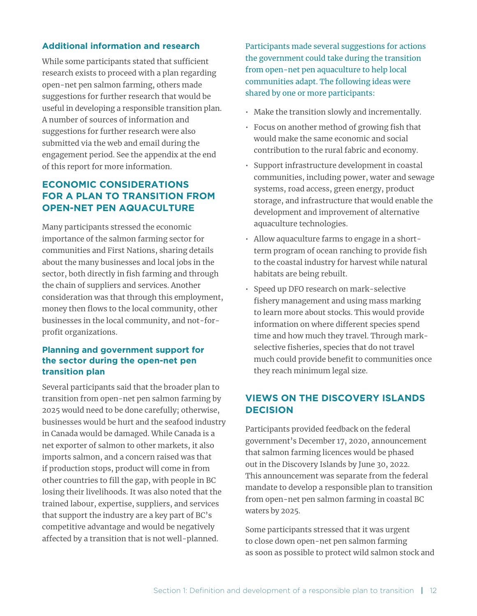#### **Additional information and research**

While some participants stated that sufficient research exists to proceed with a plan regarding open-net pen salmon farming, others made suggestions for further research that would be useful in developing a responsible transition plan. A number of sources of information and suggestions for further research were also submitted via the web and email during the engagement period. See the appendix at the end of this report for more information.

# **ECONOMIC CONSIDERATIONS FOR A PLAN TO TRANSITION FROM OPEN-NET PEN AQUACULTURE**

Many participants stressed the economic importance of the salmon farming sector for communities and First Nations, sharing details about the many businesses and local jobs in the sector, both directly in fish farming and through the chain of suppliers and services. Another consideration was that through this employment, money then flows to the local community, other businesses in the local community, and not-forprofit organizations.

#### **Planning and government support for the sector during the open-net pen transition plan**

Several participants said that the broader plan to transition from open-net pen salmon farming by 2025 would need to be done carefully; otherwise, businesses would be hurt and the seafood industry in Canada would be damaged. While Canada is a net exporter of salmon to other markets, it also imports salmon, and a concern raised was that if production stops, product will come in from other countries to fill the gap, with people in BC losing their livelihoods. It was also noted that the trained labour, expertise, suppliers, and services that support the industry are a key part of BC's competitive advantage and would be negatively affected by a transition that is not well-planned.

Participants made several suggestions for actions the government could take during the transition from open-net pen aquaculture to help local communities adapt. The following ideas were shared by one or more participants:

- Make the transition slowly and incrementally.
- Focus on another method of growing fish that would make the same economic and social contribution to the rural fabric and economy.
- Support infrastructure development in coastal communities, including power, water and sewage systems, road access, green energy, product storage, and infrastructure that would enable the development and improvement of alternative aquaculture technologies.
- Allow aquaculture farms to engage in a shortterm program of ocean ranching to provide fish to the coastal industry for harvest while natural habitats are being rebuilt.
- Speed up DFO research on mark-selective fishery management and using mass marking to learn more about stocks. This would provide information on where different species spend time and how much they travel. Through markselective fisheries, species that do not travel much could provide benefit to communities once they reach minimum legal size.

# **VIEWS ON THE DISCOVERY ISLANDS DECISION**

Participants provided feedback on the federal government's December 17, 2020, announcement that salmon farming licences would be phased out in the Discovery Islands by June 30, 2022. This announcement was separate from the federal mandate to develop a responsible plan to transition from open-net pen salmon farming in coastal BC waters by 2025.

Some participants stressed that it was urgent to close down open-net pen salmon farming as soon as possible to protect wild salmon stock and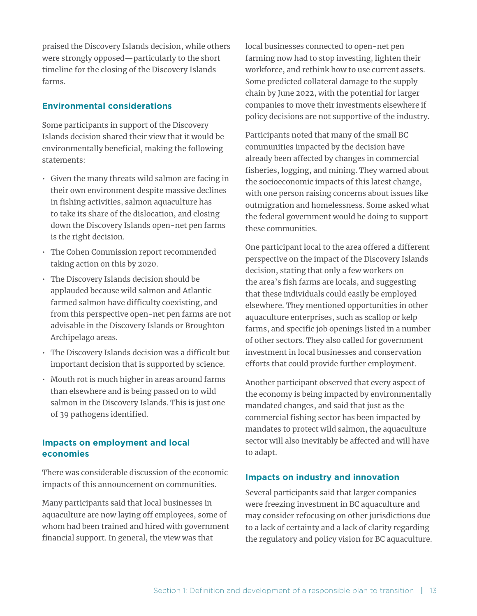praised the Discovery Islands decision, while others were strongly opposed—particularly to the short timeline for the closing of the Discovery Islands farms.

#### **Environmental considerations**

Some participants in support of the Discovery Islands decision shared their view that it would be environmentally beneficial, making the following statements:

- Given the many threats wild salmon are facing in their own environment despite massive declines in fishing activities, salmon aquaculture has to take its share of the dislocation, and closing down the Discovery Islands open-net pen farms is the right decision.
- The Cohen Commission report recommended taking action on this by 2020.
- The Discovery Islands decision should be applauded because wild salmon and Atlantic farmed salmon have difficulty coexisting, and from this perspective open-net pen farms are not advisable in the Discovery Islands or Broughton Archipelago areas.
- The Discovery Islands decision was a difficult but important decision that is supported by science.
- Mouth rot is much higher in areas around farms than elsewhere and is being passed on to wild salmon in the Discovery Islands. This is just one of 39 pathogens identified.

#### **Impacts on employment and local economies**

There was considerable discussion of the economic impacts of this announcement on communities.

Many participants said that local businesses in aquaculture are now laying off employees, some of whom had been trained and hired with government financial support. In general, the view was that

local businesses connected to open-net pen farming now had to stop investing, lighten their workforce, and rethink how to use current assets. Some predicted collateral damage to the supply chain by June 2022, with the potential for larger companies to move their investments elsewhere if policy decisions are not supportive of the industry.

Participants noted that many of the small BC communities impacted by the decision have already been affected by changes in commercial fisheries, logging, and mining. They warned about the socioeconomic impacts of this latest change, with one person raising concerns about issues like outmigration and homelessness. Some asked what the federal government would be doing to support these communities.

One participant local to the area offered a different perspective on the impact of the Discovery Islands decision, stating that only a few workers on the area's fish farms are locals, and suggesting that these individuals could easily be employed elsewhere. They mentioned opportunities in other aquaculture enterprises, such as scallop or kelp farms, and specific job openings listed in a number of other sectors. They also called for government investment in local businesses and conservation efforts that could provide further employment.

Another participant observed that every aspect of the economy is being impacted by environmentally mandated changes, and said that just as the commercial fishing sector has been impacted by mandates to protect wild salmon, the aquaculture sector will also inevitably be affected and will have to adapt.

#### **Impacts on industry and innovation**

Several participants said that larger companies were freezing investment in BC aquaculture and may consider refocusing on other jurisdictions due to a lack of certainty and a lack of clarity regarding the regulatory and policy vision for BC aquaculture.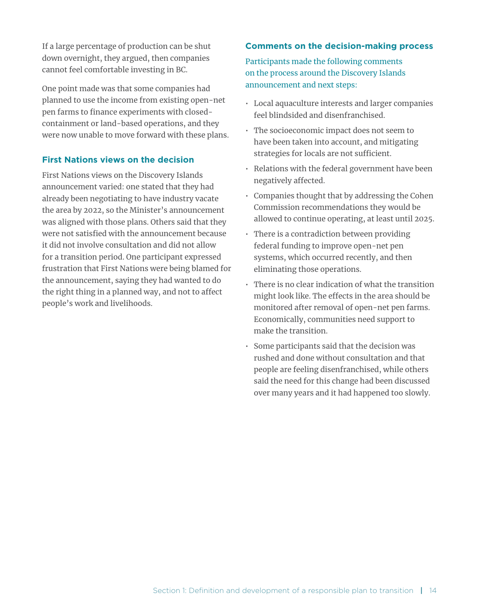If a large percentage of production can be shut down overnight, they argued, then companies cannot feel comfortable investing in BC.

One point made was that some companies had planned to use the income from existing open-net pen farms to finance experiments with closedcontainment or land-based operations, and they were now unable to move forward with these plans.

#### **First Nations views on the decision**

First Nations views on the Discovery Islands announcement varied: one stated that they had already been negotiating to have industry vacate the area by 2022, so the Minister's announcement was aligned with those plans. Others said that they were not satisfied with the announcement because it did not involve consultation and did not allow for a transition period. One participant expressed frustration that First Nations were being blamed for the announcement, saying they had wanted to do the right thing in a planned way, and not to affect people's work and livelihoods.

#### **Comments on the decision-making process**

Participants made the following comments on the process around the Discovery Islands announcement and next steps:

- Local aquaculture interests and larger companies feel blindsided and disenfranchised.
- The socioeconomic impact does not seem to have been taken into account, and mitigating strategies for locals are not sufficient.
- Relations with the federal government have been negatively affected.
- Companies thought that by addressing the Cohen Commission recommendations they would be allowed to continue operating, at least until 2025.
- There is a contradiction between providing federal funding to improve open-net pen systems, which occurred recently, and then eliminating those operations.
- There is no clear indication of what the transition might look like. The effects in the area should be monitored after removal of open-net pen farms. Economically, communities need support to make the transition.
- Some participants said that the decision was rushed and done without consultation and that people are feeling disenfranchised, while others said the need for this change had been discussed over many years and it had happened too slowly.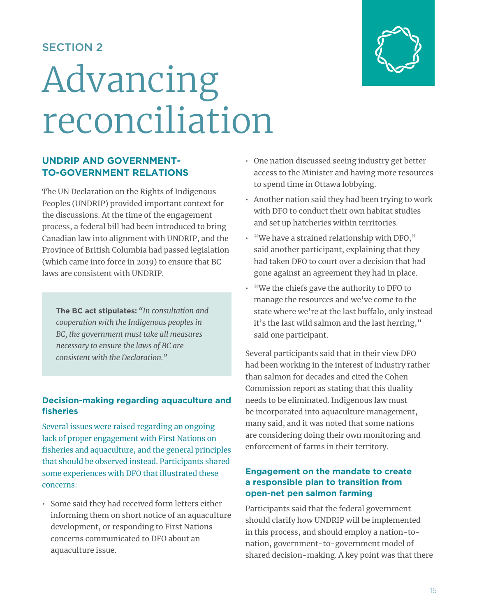# SECTION 2

# Advancing reconciliation

# **UNDRIP AND GOVERNMENT-TO-GOVERNMENT RELATIONS**

The UN Declaration on the Rights of Indigenous Peoples (UNDRIP) provided important context for the discussions. At the time of the engagement process, a federal bill had been introduced to bring Canadian law into alignment with UNDRIP, and the Province of British Columbia had passed legislation (which came into force in 2019) to ensure that BC laws are consistent with UNDRIP.

**The BC act stipulates:** *"In consultation and cooperation with the Indigenous peoples in BC, the government must take all measures necessary to ensure the laws of BC are consistent with the Declaration."* 

# **Decision-making regarding aquaculture and fisheries**

Several issues were raised regarding an ongoing lack of proper engagement with First Nations on fisheries and aquaculture, and the general principles that should be observed instead. Participants shared some experiences with DFO that illustrated these concerns:

• Some said they had received form letters either informing them on short notice of an aquaculture development, or responding to First Nations concerns communicated to DFO about an aquaculture issue.

- One nation discussed seeing industry get better access to the Minister and having more resources to spend time in Ottawa lobbying.
- Another nation said they had been trying to work with DFO to conduct their own habitat studies and set up hatcheries within territories.
- "We have a strained relationship with DFO," said another participant, explaining that they had taken DFO to court over a decision that had gone against an agreement they had in place.
- "We the chiefs gave the authority to DFO to manage the resources and we've come to the state where we're at the last buffalo, only instead it's the last wild salmon and the last herring," said one participant.

Several participants said that in their view DFO had been working in the interest of industry rather than salmon for decades and cited the Cohen Commission report as stating that this duality needs to be eliminated. Indigenous law must be incorporated into aquaculture management, many said, and it was noted that some nations are considering doing their own monitoring and enforcement of farms in their territory.

### **Engagement on the mandate to create a responsible plan to transition from open-net pen salmon farming**

Participants said that the federal government should clarify how UNDRIP will be implemented in this process, and should employ a nation-tonation, government-to-government model of shared decision-making. A key point was that there



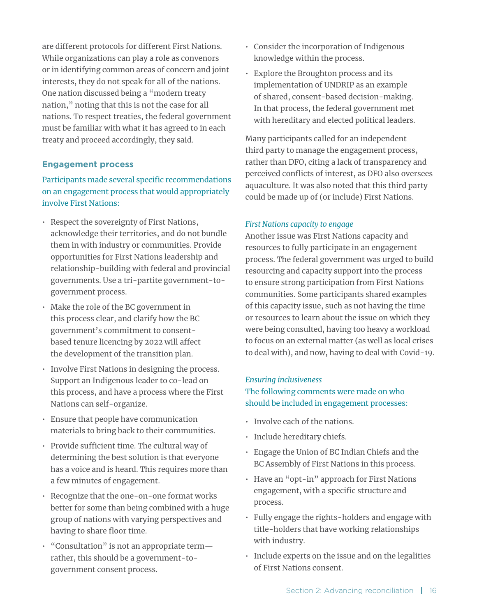are different protocols for different First Nations. While organizations can play a role as convenors or in identifying common areas of concern and joint interests, they do not speak for all of the nations. One nation discussed being a "modern treaty nation," noting that this is not the case for all nations. To respect treaties, the federal government must be familiar with what it has agreed to in each treaty and proceed accordingly, they said.

#### **Engagement process**

# Participants made several specific recommendations on an engagement process that would appropriately involve First Nations:

- Respect the sovereignty of First Nations, acknowledge their territories, and do not bundle them in with industry or communities. Provide opportunities for First Nations leadership and relationship-building with federal and provincial governments. Use a tri-partite government-togovernment process.
- Make the role of the BC government in this process clear, and clarify how the BC government's commitment to consentbased tenure licencing by 2022 will affect the development of the transition plan.
- Involve First Nations in designing the process. Support an Indigenous leader to co-lead on this process, and have a process where the First Nations can self-organize.
- Ensure that people have communication materials to bring back to their communities.
- Provide sufficient time. The cultural way of determining the best solution is that everyone has a voice and is heard. This requires more than a few minutes of engagement.
- Recognize that the one-on-one format works better for some than being combined with a huge group of nations with varying perspectives and having to share floor time.
- "Consultation" is not an appropriate term rather, this should be a government-togovernment consent process.
- Consider the incorporation of Indigenous knowledge within the process.
- Explore the Broughton process and its implementation of UNDRIP as an example of shared, consent-based decision-making. In that process, the federal government met with hereditary and elected political leaders.

Many participants called for an independent third party to manage the engagement process, rather than DFO, citing a lack of transparency and perceived conflicts of interest, as DFO also oversees aquaculture. It was also noted that this third party could be made up of (or include) First Nations.

#### *First Nations capacity to engage*

Another issue was First Nations capacity and resources to fully participate in an engagement process. The federal government was urged to build resourcing and capacity support into the process to ensure strong participation from First Nations communities. Some participants shared examples of this capacity issue, such as not having the time or resources to learn about the issue on which they were being consulted, having too heavy a workload to focus on an external matter (as well as local crises to deal with), and now, having to deal with Covid-19.

#### *Ensuring inclusiveness*

### The following comments were made on who should be included in engagement processes:

- Involve each of the nations.
- Include hereditary chiefs.
- Engage the Union of BC Indian Chiefs and the BC Assembly of First Nations in this process.
- Have an "opt-in" approach for First Nations engagement, with a specific structure and process.
- Fully engage the rights-holders and engage with title-holders that have working relationships with industry.
- Include experts on the issue and on the legalities of First Nations consent.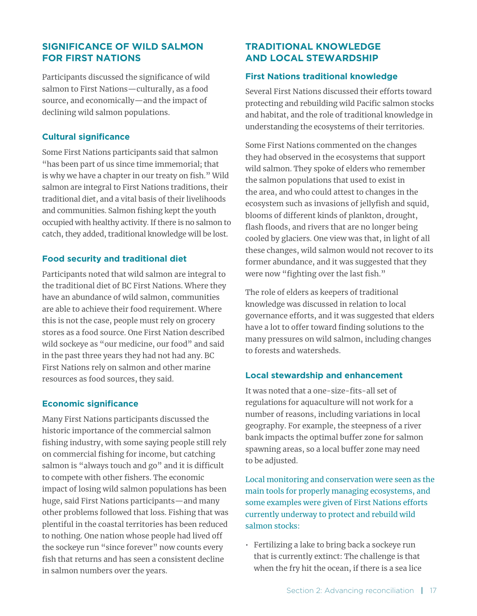# **SIGNIFICANCE OF WILD SALMON FOR FIRST NATIONS**

Participants discussed the significance of wild salmon to First Nations—culturally, as a food source, and economically—and the impact of declining wild salmon populations.

#### **Cultural significance**

Some First Nations participants said that salmon "has been part of us since time immemorial; that is why we have a chapter in our treaty on fish." Wild salmon are integral to First Nations traditions, their traditional diet, and a vital basis of their livelihoods and communities. Salmon fishing kept the youth occupied with healthy activity. If there is no salmon to catch, they added, traditional knowledge will be lost.

#### **Food security and traditional diet**

Participants noted that wild salmon are integral to the traditional diet of BC First Nations. Where they have an abundance of wild salmon, communities are able to achieve their food requirement. Where this is not the case, people must rely on grocery stores as a food source. One First Nation described wild sockeye as "our medicine, our food" and said in the past three years they had not had any. BC First Nations rely on salmon and other marine resources as food sources, they said.

#### **Economic significance**

Many First Nations participants discussed the historic importance of the commercial salmon fishing industry, with some saying people still rely on commercial fishing for income, but catching salmon is "always touch and go" and it is difficult to compete with other fishers. The economic impact of losing wild salmon populations has been huge, said First Nations participants—and many other problems followed that loss. Fishing that was plentiful in the coastal territories has been reduced to nothing. One nation whose people had lived off the sockeye run "since forever" now counts every fish that returns and has seen a consistent decline in salmon numbers over the years.

### **TRADITIONAL KNOWLEDGE AND LOCAL STEWARDSHIP**

#### **First Nations traditional knowledge**

Several First Nations discussed their efforts toward protecting and rebuilding wild Pacific salmon stocks and habitat, and the role of traditional knowledge in understanding the ecosystems of their territories.

Some First Nations commented on the changes they had observed in the ecosystems that support wild salmon. They spoke of elders who remember the salmon populations that used to exist in the area, and who could attest to changes in the ecosystem such as invasions of jellyfish and squid, blooms of different kinds of plankton, drought, flash floods, and rivers that are no longer being cooled by glaciers. One view was that, in light of all these changes, wild salmon would not recover to its former abundance, and it was suggested that they were now "fighting over the last fish."

The role of elders as keepers of traditional knowledge was discussed in relation to local governance efforts, and it was suggested that elders have a lot to offer toward finding solutions to the many pressures on wild salmon, including changes to forests and watersheds.

#### **Local stewardship and enhancement**

It was noted that a one-size-fits-all set of regulations for aquaculture will not work for a number of reasons, including variations in local geography. For example, the steepness of a river bank impacts the optimal buffer zone for salmon spawning areas, so a local buffer zone may need to be adjusted.

Local monitoring and conservation were seen as the main tools for properly managing ecosystems, and some examples were given of First Nations efforts currently underway to protect and rebuild wild salmon stocks:

• Fertilizing a lake to bring back a sockeye run that is currently extinct: The challenge is that when the fry hit the ocean, if there is a sea lice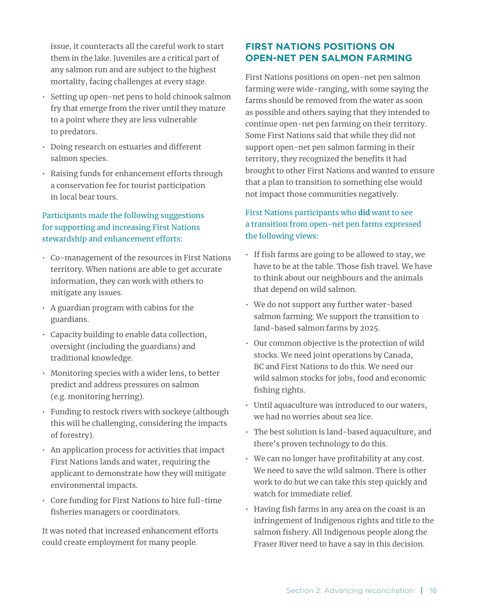issue, it counteracts all the careful work to start them in the lake. Juveniles are a critical part of any salmon run and are subject to the highest mortality, facing challenges at every stage.

- Setting up open-net pens to hold chinook salmon fry that emerge from the river until they mature to a point where they are less vulnerable to predators.
- Doing research on estuaries and different salmon species.
- Raising funds for enhancement efforts through a conservation fee for tourist participation in local bear tours.

# Participants made the following suggestions for supporting and increasing First Nations stewardship and enhancement efforts:

- Co-management of the resources in First Nations territory. When nations are able to get accurate information, they can work with others to mitigate any issues.
- A guardian program with cabins for the guardians.
- Capacity building to enable data collection, oversight (including the guardians) and traditional knowledge.
- Monitoring species with a wider lens, to better predict and address pressures on salmon (e.g. monitoring herring).
- Funding to restock rivers with sockeye (although this will be challenging, considering the impacts of forestry).
- An application process for activities that impact First Nations lands and water, requiring the applicant to demonstrate how they will mitigate environmental impacts.
- Core funding for First Nations to hire full-time fisheries managers or coordinators.

It was noted that increased enhancement efforts could create employment for many people.

# **FIRST NATIONS POSITIONS ON OPEN-NET PEN SALMON FARMING**

First Nations positions on open-net pen salmon farming were wide-ranging, with some saying the farms should be removed from the water as soon as possible and others saying that they intended to continue open-net pen farming on their territory. Some First Nations said that while they did not support open-net pen salmon farming in their territory, they recognized the benefits it had brought to other First Nations and wanted to ensure that a plan to transition to something else would not impact those communities negatively.

# First Nations participants who **did** want to see a transition from open-net pen farms expressed the following views:

- If fish farms are going to be allowed to stay, we have to be at the table. Those fish travel. We have to think about our neighbours and the animals that depend on wild salmon.
- We do not support any further water-based salmon farming. We support the transition to land-based salmon farms by 2025.
- Our common objective is the protection of wild stocks. We need joint operations by Canada, BC and First Nations to do this. We need our wild salmon stocks for jobs, food and economic fishing rights.
- Until aquaculture was introduced to our waters, we had no worries about sea lice.
- The best solution is land-based aquaculture, and there's proven technology to do this.
- We can no longer have profitability at any cost. We need to save the wild salmon. There is other work to do but we can take this step quickly and watch for immediate relief.
- Having fish farms in any area on the coast is an infringement of Indigenous rights and title to the salmon fishery. All Indigenous people along the Fraser River need to have a say in this decision.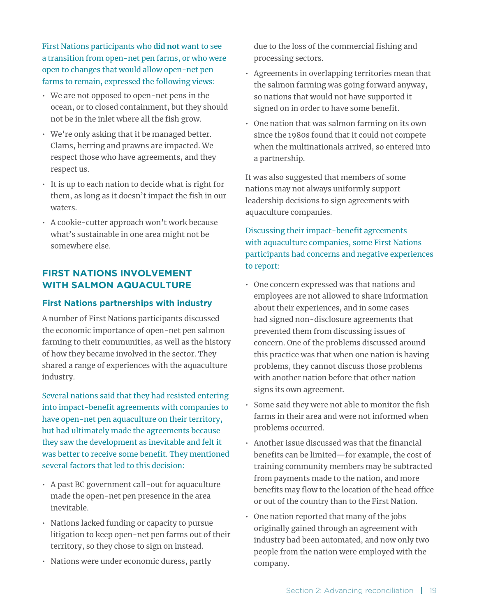First Nations participants who **did not** want to see a transition from open-net pen farms, or who were open to changes that would allow open-net pen farms to remain, expressed the following views:

- We are not opposed to open-net pens in the ocean, or to closed containment, but they should not be in the inlet where all the fish grow.
- We're only asking that it be managed better. Clams, herring and prawns are impacted. We respect those who have agreements, and they respect us.
- It is up to each nation to decide what is right for them, as long as it doesn't impact the fish in our waters.
- A cookie-cutter approach won't work because what's sustainable in one area might not be somewhere else.

### **FIRST NATIONS INVOLVEMENT WITH SALMON AQUACULTURE**

#### **First Nations partnerships with industry**

A number of First Nations participants discussed the economic importance of open-net pen salmon farming to their communities, as well as the history of how they became involved in the sector. They shared a range of experiences with the aquaculture industry.

Several nations said that they had resisted entering into impact-benefit agreements with companies to have open-net pen aquaculture on their territory, but had ultimately made the agreements because they saw the development as inevitable and felt it was better to receive some benefit. They mentioned several factors that led to this decision:

- A past BC government call-out for aquaculture made the open-net pen presence in the area inevitable.
- Nations lacked funding or capacity to pursue litigation to keep open-net pen farms out of their territory, so they chose to sign on instead.
- Nations were under economic duress, partly

due to the loss of the commercial fishing and processing sectors.

- Agreements in overlapping territories mean that the salmon farming was going forward anyway, so nations that would not have supported it signed on in order to have some benefit.
- One nation that was salmon farming on its own since the 1980s found that it could not compete when the multinationals arrived, so entered into a partnership.

It was also suggested that members of some nations may not always uniformly support leadership decisions to sign agreements with aquaculture companies.

# Discussing their impact-benefit agreements with aquaculture companies, some First Nations participants had concerns and negative experiences to report:

- One concern expressed was that nations and employees are not allowed to share information about their experiences, and in some cases had signed non-disclosure agreements that prevented them from discussing issues of concern. One of the problems discussed around this practice was that when one nation is having problems, they cannot discuss those problems with another nation before that other nation signs its own agreement.
- Some said they were not able to monitor the fish farms in their area and were not informed when problems occurred.
- Another issue discussed was that the financial benefits can be limited—for example, the cost of training community members may be subtracted from payments made to the nation, and more benefits may flow to the location of the head office or out of the country than to the First Nation.
- One nation reported that many of the jobs originally gained through an agreement with industry had been automated, and now only two people from the nation were employed with the company.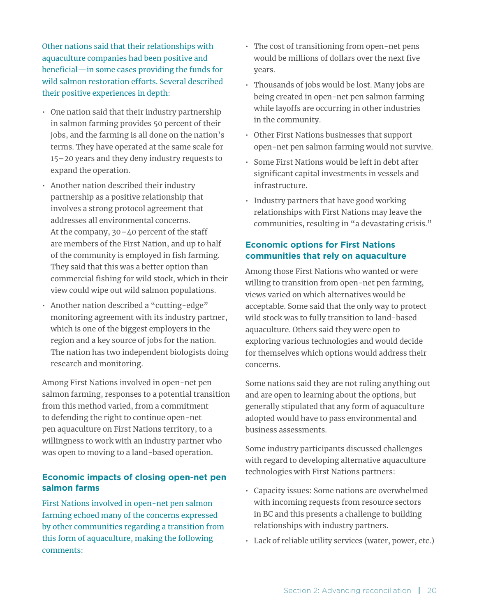Other nations said that their relationships with aquaculture companies had been positive and beneficial—in some cases providing the funds for wild salmon restoration efforts. Several described their positive experiences in depth:

- One nation said that their industry partnership in salmon farming provides 50 percent of their jobs, and the farming is all done on the nation's terms. They have operated at the same scale for 15–20 years and they deny industry requests to expand the operation.
- Another nation described their industry partnership as a positive relationship that involves a strong protocol agreement that addresses all environmental concerns. At the company, 30–40 percent of the staff are members of the First Nation, and up to half of the community is employed in fish farming. They said that this was a better option than commercial fishing for wild stock, which in their view could wipe out wild salmon populations.
- Another nation described a "cutting-edge" monitoring agreement with its industry partner, which is one of the biggest employers in the region and a key source of jobs for the nation. The nation has two independent biologists doing research and monitoring.

Among First Nations involved in open-net pen salmon farming, responses to a potential transition from this method varied, from a commitment to defending the right to continue open-net pen aquaculture on First Nations territory, to a willingness to work with an industry partner who was open to moving to a land-based operation.

#### **Economic impacts of closing open-net pen salmon farms**

First Nations involved in open-net pen salmon farming echoed many of the concerns expressed by other communities regarding a transition from this form of aquaculture, making the following comments:

- The cost of transitioning from open-net pens would be millions of dollars over the next five years.
- Thousands of jobs would be lost. Many jobs are being created in open-net pen salmon farming while layoffs are occurring in other industries in the community.
- Other First Nations businesses that support open-net pen salmon farming would not survive.
- Some First Nations would be left in debt after significant capital investments in vessels and infrastructure.
- Industry partners that have good working relationships with First Nations may leave the communities, resulting in "a devastating crisis."

# **Economic options for First Nations communities that rely on aquaculture**

Among those First Nations who wanted or were willing to transition from open-net pen farming, views varied on which alternatives would be acceptable. Some said that the only way to protect wild stock was to fully transition to land-based aquaculture. Others said they were open to exploring various technologies and would decide for themselves which options would address their concerns.

Some nations said they are not ruling anything out and are open to learning about the options, but generally stipulated that any form of aquaculture adopted would have to pass environmental and business assessments.

Some industry participants discussed challenges with regard to developing alternative aquaculture technologies with First Nations partners:

- Capacity issues: Some nations are overwhelmed with incoming requests from resource sectors in BC and this presents a challenge to building relationships with industry partners.
- Lack of reliable utility services (water, power, etc.)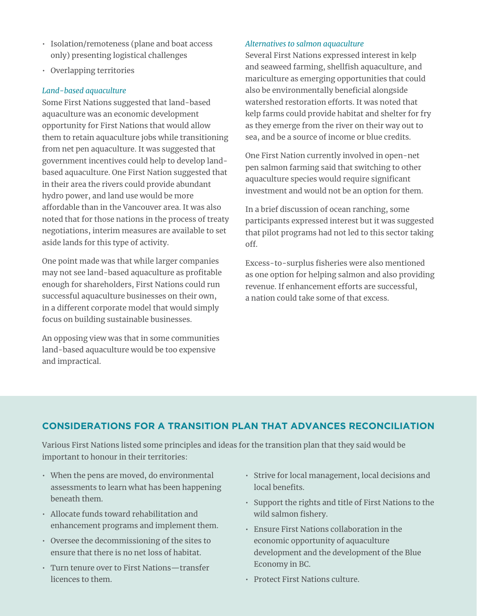- Isolation/remoteness (plane and boat access only) presenting logistical challenges
- Overlapping territories

#### *Land-based aquaculture*

Some First Nations suggested that land-based aquaculture was an economic development opportunity for First Nations that would allow them to retain aquaculture jobs while transitioning from net pen aquaculture. It was suggested that government incentives could help to develop landbased aquaculture. One First Nation suggested that in their area the rivers could provide abundant hydro power, and land use would be more affordable than in the Vancouver area. It was also noted that for those nations in the process of treaty negotiations, interim measures are available to set aside lands for this type of activity.

One point made was that while larger companies may not see land-based aquaculture as profitable enough for shareholders, First Nations could run successful aquaculture businesses on their own, in a different corporate model that would simply focus on building sustainable businesses.

An opposing view was that in some communities land-based aquaculture would be too expensive and impractical.

#### *Alternatives to salmon aquaculture*

Several First Nations expressed interest in kelp and seaweed farming, shellfish aquaculture, and mariculture as emerging opportunities that could also be environmentally beneficial alongside watershed restoration efforts. It was noted that kelp farms could provide habitat and shelter for fry as they emerge from the river on their way out to sea, and be a source of income or blue credits.

One First Nation currently involved in open-net pen salmon farming said that switching to other aquaculture species would require significant investment and would not be an option for them.

In a brief discussion of ocean ranching, some participants expressed interest but it was suggested that pilot programs had not led to this sector taking off.

Excess-to-surplus fisheries were also mentioned as one option for helping salmon and also providing revenue. If enhancement efforts are successful, a nation could take some of that excess.

# **CONSIDERATIONS FOR A TRANSITION PLAN THAT ADVANCES RECONCILIATION**

Various First Nations listed some principles and ideas for the transition plan that they said would be important to honour in their territories:

- When the pens are moved, do environmental assessments to learn what has been happening beneath them.
- Allocate funds toward rehabilitation and enhancement programs and implement them.
- Oversee the decommissioning of the sites to ensure that there is no net loss of habitat.
- Turn tenure over to First Nations—transfer licences to them.
- Strive for local management, local decisions and local benefits.
- Support the rights and title of First Nations to the wild salmon fishery.
- Ensure First Nations collaboration in the economic opportunity of aquaculture development and the development of the Blue Economy in BC.
- Protect First Nations culture.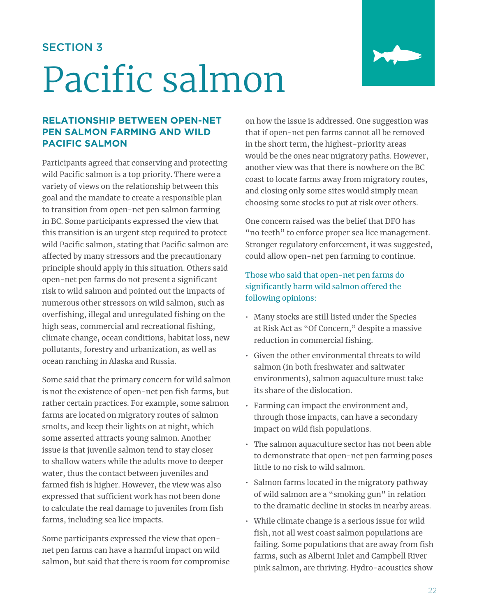# SECTION 3

# Pacific salmon



# **RELATIONSHIP BETWEEN OPEN-NET PEN SALMON FARMING AND WILD PACIFIC SALMON**

Participants agreed that conserving and protecting wild Pacific salmon is a top priority. There were a variety of views on the relationship between this goal and the mandate to create a responsible plan to transition from open-net pen salmon farming in BC. Some participants expressed the view that this transition is an urgent step required to protect wild Pacific salmon, stating that Pacific salmon are affected by many stressors and the precautionary principle should apply in this situation. Others said open-net pen farms do not present a significant risk to wild salmon and pointed out the impacts of numerous other stressors on wild salmon, such as overfishing, illegal and unregulated fishing on the high seas, commercial and recreational fishing, climate change, ocean conditions, habitat loss, new pollutants, forestry and urbanization, as well as ocean ranching in Alaska and Russia.

Some said that the primary concern for wild salmon is not the existence of open-net pen fish farms, but rather certain practices. For example, some salmon farms are located on migratory routes of salmon smolts, and keep their lights on at night, which some asserted attracts young salmon. Another issue is that juvenile salmon tend to stay closer to shallow waters while the adults move to deeper water, thus the contact between juveniles and farmed fish is higher. However, the view was also expressed that sufficient work has not been done to calculate the real damage to juveniles from fish farms, including sea lice impacts.

Some participants expressed the view that opennet pen farms can have a harmful impact on wild salmon, but said that there is room for compromise on how the issue is addressed. One suggestion was that if open-net pen farms cannot all be removed in the short term, the highest-priority areas would be the ones near migratory paths. However, another view was that there is nowhere on the BC coast to locate farms away from migratory routes, and closing only some sites would simply mean choosing some stocks to put at risk over others.

One concern raised was the belief that DFO has "no teeth" to enforce proper sea lice management. Stronger regulatory enforcement, it was suggested, could allow open-net pen farming to continue.

# Those who said that open-net pen farms do significantly harm wild salmon offered the following opinions:

- Many stocks are still listed under the Species at Risk Act as "Of Concern," despite a massive reduction in commercial fishing.
- Given the other environmental threats to wild salmon (in both freshwater and saltwater environments), salmon aquaculture must take its share of the dislocation.
- Farming can impact the environment and, through those impacts, can have a secondary impact on wild fish populations.
- The salmon aquaculture sector has not been able to demonstrate that open-net pen farming poses little to no risk to wild salmon.
- Salmon farms located in the migratory pathway of wild salmon are a "smoking gun" in relation to the dramatic decline in stocks in nearby areas.
- While climate change is a serious issue for wild fish, not all west coast salmon populations are failing. Some populations that are away from fish farms, such as Alberni Inlet and Campbell River pink salmon, are thriving. Hydro-acoustics show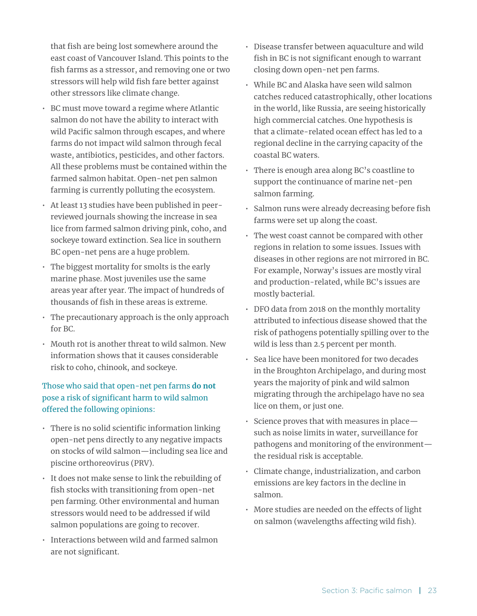that fish are being lost somewhere around the east coast of Vancouver Island. This points to the fish farms as a stressor, and removing one or two stressors will help wild fish fare better against other stressors like climate change.

- BC must move toward a regime where Atlantic salmon do not have the ability to interact with wild Pacific salmon through escapes, and where farms do not impact wild salmon through fecal waste, antibiotics, pesticides, and other factors. All these problems must be contained within the farmed salmon habitat. Open-net pen salmon farming is currently polluting the ecosystem.
- At least 13 studies have been published in peerreviewed journals showing the increase in sea lice from farmed salmon driving pink, coho, and sockeye toward extinction. Sea lice in southern BC open-net pens are a huge problem.
- The biggest mortality for smolts is the early marine phase. Most juveniles use the same areas year after year. The impact of hundreds of thousands of fish in these areas is extreme.
- The precautionary approach is the only approach for BC.
- Mouth rot is another threat to wild salmon. New information shows that it causes considerable risk to coho, chinook, and sockeye.

# Those who said that open-net pen farms **do not** pose a risk of significant harm to wild salmon offered the following opinions:

- There is no solid scientific information linking open-net pens directly to any negative impacts on stocks of wild salmon—including sea lice and piscine orthoreovirus (PRV).
- It does not make sense to link the rebuilding of fish stocks with transitioning from open-net pen farming. Other environmental and human stressors would need to be addressed if wild salmon populations are going to recover.
- Interactions between wild and farmed salmon are not significant.
- Disease transfer between aquaculture and wild fish in BC is not significant enough to warrant closing down open-net pen farms.
- While BC and Alaska have seen wild salmon catches reduced catastrophically, other locations in the world, like Russia, are seeing historically high commercial catches. One hypothesis is that a climate-related ocean effect has led to a regional decline in the carrying capacity of the coastal BC waters.
- There is enough area along BC's coastline to support the continuance of marine net-pen salmon farming.
- Salmon runs were already decreasing before fish farms were set up along the coast.
- The west coast cannot be compared with other regions in relation to some issues. Issues with diseases in other regions are not mirrored in BC. For example, Norway's issues are mostly viral and production-related, while BC's issues are mostly bacterial.
- DFO data from 2018 on the monthly mortality attributed to infectious disease showed that the risk of pathogens potentially spilling over to the wild is less than 2.5 percent per month.
- Sea lice have been monitored for two decades in the Broughton Archipelago, and during most years the majority of pink and wild salmon migrating through the archipelago have no sea lice on them, or just one.
- Science proves that with measures in place such as noise limits in water, surveillance for pathogens and monitoring of the environment the residual risk is acceptable.
- Climate change, industrialization, and carbon emissions are key factors in the decline in salmon.
- More studies are needed on the effects of light on salmon (wavelengths affecting wild fish).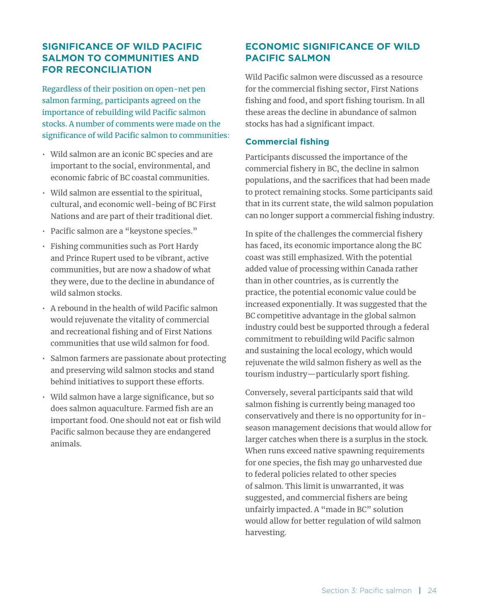# **SIGNIFICANCE OF WILD PACIFIC SALMON TO COMMUNITIES AND FOR RECONCILIATION**

Regardless of their position on open-net pen salmon farming, participants agreed on the importance of rebuilding wild Pacific salmon stocks. A number of comments were made on the significance of wild Pacific salmon to communities:

- Wild salmon are an iconic BC species and are important to the social, environmental, and economic fabric of BC coastal communities.
- Wild salmon are essential to the spiritual, cultural, and economic well-being of BC First Nations and are part of their traditional diet.
- Pacific salmon are a "keystone species."
- Fishing communities such as Port Hardy and Prince Rupert used to be vibrant, active communities, but are now a shadow of what they were, due to the decline in abundance of wild salmon stocks.
- A rebound in the health of wild Pacific salmon would rejuvenate the vitality of commercial and recreational fishing and of First Nations communities that use wild salmon for food.
- Salmon farmers are passionate about protecting and preserving wild salmon stocks and stand behind initiatives to support these efforts.
- Wild salmon have a large significance, but so does salmon aquaculture. Farmed fish are an important food. One should not eat or fish wild Pacific salmon because they are endangered animals.

# **ECONOMIC SIGNIFICANCE OF WILD PACIFIC SALMON**

Wild Pacific salmon were discussed as a resource for the commercial fishing sector, First Nations fishing and food, and sport fishing tourism. In all these areas the decline in abundance of salmon stocks has had a significant impact.

#### **Commercial fishing**

Participants discussed the importance of the commercial fishery in BC, the decline in salmon populations, and the sacrifices that had been made to protect remaining stocks. Some participants said that in its current state, the wild salmon population can no longer support a commercial fishing industry.

In spite of the challenges the commercial fishery has faced, its economic importance along the BC coast was still emphasized. With the potential added value of processing within Canada rather than in other countries, as is currently the practice, the potential economic value could be increased exponentially. It was suggested that the BC competitive advantage in the global salmon industry could best be supported through a federal commitment to rebuilding wild Pacific salmon and sustaining the local ecology, which would rejuvenate the wild salmon fishery as well as the tourism industry—particularly sport fishing.

Conversely, several participants said that wild salmon fishing is currently being managed too conservatively and there is no opportunity for inseason management decisions that would allow for larger catches when there is a surplus in the stock. When runs exceed native spawning requirements for one species, the fish may go unharvested due to federal policies related to other species of salmon. This limit is unwarranted, it was suggested, and commercial fishers are being unfairly impacted. A "made in BC" solution would allow for better regulation of wild salmon harvesting.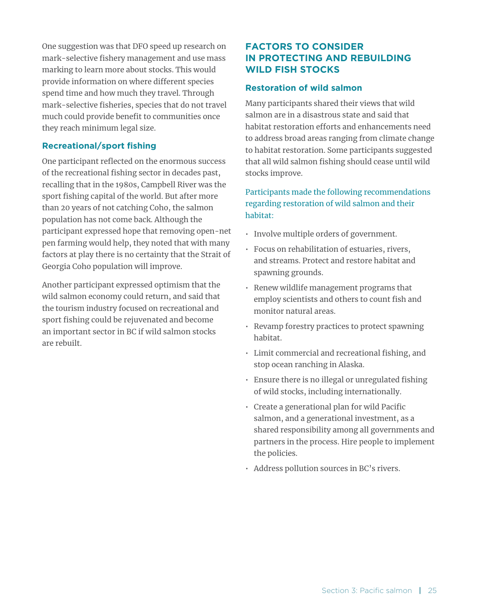One suggestion was that DFO speed up research on mark-selective fishery management and use mass marking to learn more about stocks. This would provide information on where different species spend time and how much they travel. Through mark-selective fisheries, species that do not travel much could provide benefit to communities once they reach minimum legal size.

#### **Recreational/sport fishing**

One participant reflected on the enormous success of the recreational fishing sector in decades past, recalling that in the 1980s, Campbell River was the sport fishing capital of the world. But after more than 20 years of not catching Coho, the salmon population has not come back. Although the participant expressed hope that removing open-net pen farming would help, they noted that with many factors at play there is no certainty that the Strait of Georgia Coho population will improve.

Another participant expressed optimism that the wild salmon economy could return, and said that the tourism industry focused on recreational and sport fishing could be rejuvenated and become an important sector in BC if wild salmon stocks are rebuilt.

# **FACTORS TO CONSIDER IN PROTECTING AND REBUILDING WILD FISH STOCKS**

#### **Restoration of wild salmon**

Many participants shared their views that wild salmon are in a disastrous state and said that habitat restoration efforts and enhancements need to address broad areas ranging from climate change to habitat restoration. Some participants suggested that all wild salmon fishing should cease until wild stocks improve.

Participants made the following recommendations regarding restoration of wild salmon and their habitat:

- Involve multiple orders of government.
- Focus on rehabilitation of estuaries, rivers, and streams. Protect and restore habitat and spawning grounds.
- Renew wildlife management programs that employ scientists and others to count fish and monitor natural areas.
- Revamp forestry practices to protect spawning habitat.
- Limit commercial and recreational fishing, and stop ocean ranching in Alaska.
- Ensure there is no illegal or unregulated fishing of wild stocks, including internationally.
- Create a generational plan for wild Pacific salmon, and a generational investment, as a shared responsibility among all governments and partners in the process. Hire people to implement the policies.
- Address pollution sources in BC's rivers.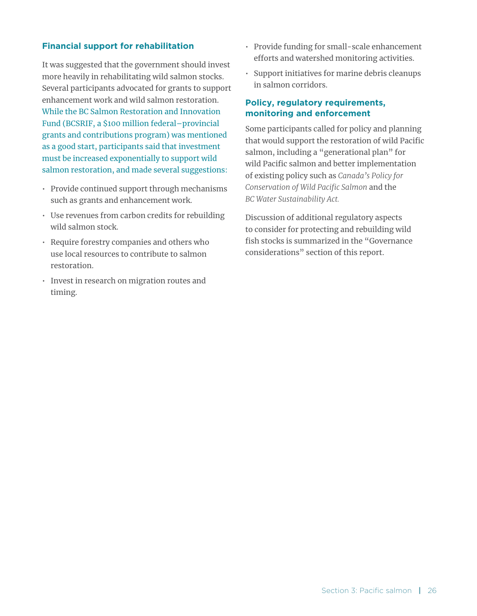#### **Financial support for rehabilitation**

It was suggested that the government should invest more heavily in rehabilitating wild salmon stocks. Several participants advocated for grants to support enhancement work and wild salmon restoration. While the BC Salmon Restoration and Innovation Fund (BCSRIF, a \$100 million federal–provincial grants and contributions program) was mentioned as a good start, participants said that investment must be increased exponentially to support wild salmon restoration, and made several suggestions:

- Provide continued support through mechanisms such as grants and enhancement work.
- Use revenues from carbon credits for rebuilding wild salmon stock.
- Require forestry companies and others who use local resources to contribute to salmon restoration.
- Invest in research on migration routes and timing.
- Provide funding for small-scale enhancement efforts and watershed monitoring activities.
- Support initiatives for marine debris cleanups in salmon corridors.

#### **Policy, regulatory requirements, monitoring and enforcement**

Some participants called for policy and planning that would support the restoration of wild Pacific salmon, including a "generational plan" for wild Pacific salmon and better implementation of existing policy such as *Canada's Policy for Conservation of Wild Pacific Salmon* and the *BC Water Sustainability Act.*

Discussion of additional regulatory aspects to consider for protecting and rebuilding wild fish stocks is summarized in the "Governance considerations" section of this report.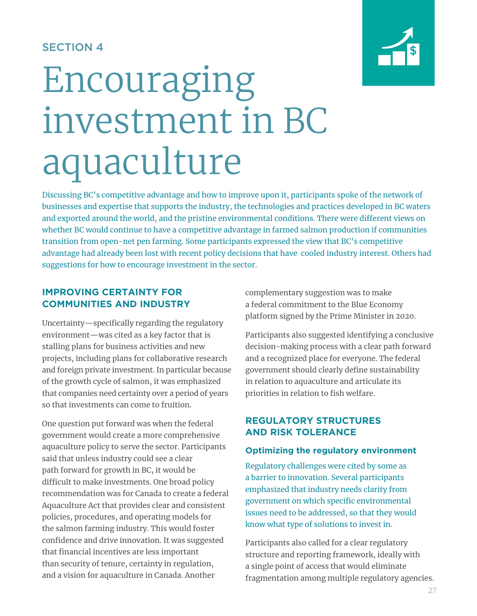# SECTION 4



# Encouraging investment in BC aquaculture

Discussing BC's competitive advantage and how to improve upon it, participants spoke of the network of businesses and expertise that supports the industry, the technologies and practices developed in BC waters and exported around the world, and the pristine environmental conditions. There were different views on whether BC would continue to have a competitive advantage in farmed salmon production if communities transition from open-net pen farming. Some participants expressed the view that BC's competitive advantage had already been lost with recent policy decisions that have cooled industry interest. Others had suggestions for how to encourage investment in the sector.

### **IMPROVING CERTAINTY FOR COMMUNITIES AND INDUSTRY**

Uncertainty—specifically regarding the regulatory environment—was cited as a key factor that is stalling plans for business activities and new projects, including plans for collaborative research and foreign private investment. In particular because of the growth cycle of salmon, it was emphasized that companies need certainty over a period of years so that investments can come to fruition.

One question put forward was when the federal government would create a more comprehensive aquaculture policy to serve the sector. Participants said that unless industry could see a clear path forward for growth in BC, it would be difficult to make investments. One broad policy recommendation was for Canada to create a federal Aquaculture Act that provides clear and consistent policies, procedures, and operating models for the salmon farming industry. This would foster confidence and drive innovation. It was suggested that financial incentives are less important than security of tenure, certainty in regulation, and a vision for aquaculture in Canada. Another

complementary suggestion was to make a federal commitment to the Blue Economy platform signed by the Prime Minister in 2020.

Participants also suggested identifying a conclusive decision-making process with a clear path forward and a recognized place for everyone. The federal government should clearly define sustainability in relation to aquaculture and articulate its priorities in relation to fish welfare.

# **REGULATORY STRUCTURES AND RISK TOLERANCE**

### **Optimizing the regulatory environment**

Regulatory challenges were cited by some as a barrier to innovation. Several participants emphasized that industry needs clarity from government on which specific environmental issues need to be addressed, so that they would know what type of solutions to invest in.

Participants also called for a clear regulatory structure and reporting framework, ideally with a single point of access that would eliminate fragmentation among multiple regulatory agencies.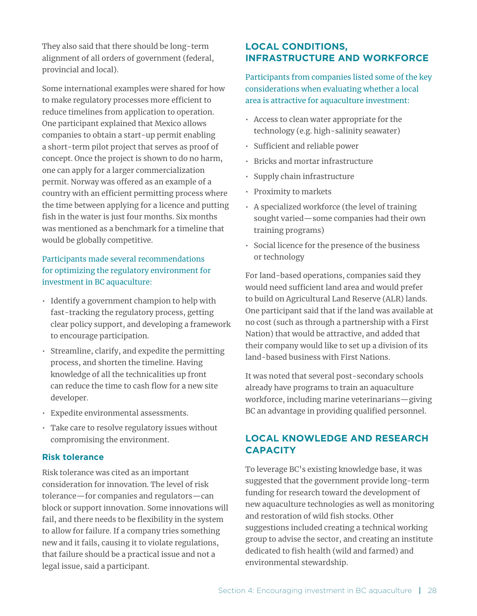They also said that there should be long-term alignment of all orders of government (federal, provincial and local).

Some international examples were shared for how to make regulatory processes more efficient to reduce timelines from application to operation. One participant explained that Mexico allows companies to obtain a start-up permit enabling a short-term pilot project that serves as proof of concept. Once the project is shown to do no harm, one can apply for a larger commercialization permit. Norway was offered as an example of a country with an efficient permitting process where the time between applying for a licence and putting fish in the water is just four months. Six months was mentioned as a benchmark for a timeline that would be globally competitive.

# Participants made several recommendations for optimizing the regulatory environment for investment in BC aquaculture:

- Identify a government champion to help with fast-tracking the regulatory process, getting clear policy support, and developing a framework to encourage participation.
- Streamline, clarify, and expedite the permitting process, and shorten the timeline. Having knowledge of all the technicalities up front can reduce the time to cash flow for a new site developer.
- Expedite environmental assessments.
- Take care to resolve regulatory issues without compromising the environment.

### **Risk tolerance**

Risk tolerance was cited as an important consideration for innovation. The level of risk tolerance—for companies and regulators—can block or support innovation. Some innovations will fail, and there needs to be flexibility in the system to allow for failure. If a company tries something new and it fails, causing it to violate regulations, that failure should be a practical issue and not a legal issue, said a participant.

# **LOCAL CONDITIONS, INFRASTRUCTURE AND WORKFORCE**

Participants from companies listed some of the key considerations when evaluating whether a local area is attractive for aquaculture investment:

- Access to clean water appropriate for the technology (e.g. high-salinity seawater)
- Sufficient and reliable power
- Bricks and mortar infrastructure
- Supply chain infrastructure
- Proximity to markets
- A specialized workforce (the level of training sought varied—some companies had their own training programs)
- Social licence for the presence of the business or technology

For land-based operations, companies said they would need sufficient land area and would prefer to build on Agricultural Land Reserve (ALR) lands. One participant said that if the land was available at no cost (such as through a partnership with a First Nation) that would be attractive, and added that their company would like to set up a division of its land-based business with First Nations.

It was noted that several post-secondary schools already have programs to train an aquaculture workforce, including marine veterinarians—giving BC an advantage in providing qualified personnel.

# **LOCAL KNOWLEDGE AND RESEARCH CAPACITY**

To leverage BC's existing knowledge base, it was suggested that the government provide long-term funding for research toward the development of new aquaculture technologies as well as monitoring and restoration of wild fish stocks. Other suggestions included creating a technical working group to advise the sector, and creating an institute dedicated to fish health (wild and farmed) and environmental stewardship.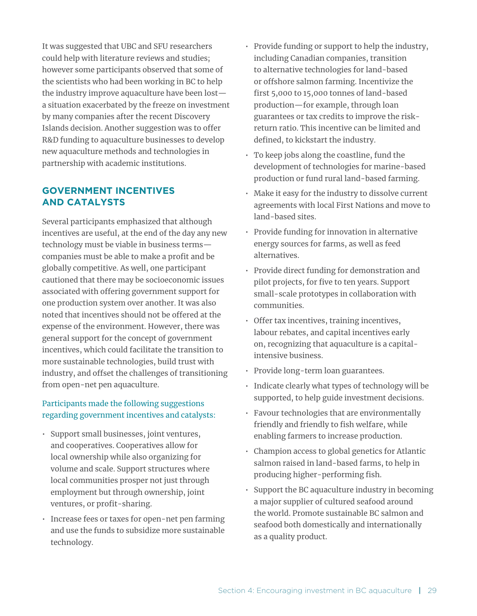It was suggested that UBC and SFU researchers could help with literature reviews and studies; however some participants observed that some of the scientists who had been working in BC to help the industry improve aquaculture have been lost a situation exacerbated by the freeze on investment by many companies after the recent Discovery Islands decision. Another suggestion was to offer R&D funding to aquaculture businesses to develop new aquaculture methods and technologies in partnership with academic institutions.

# **GOVERNMENT INCENTIVES AND CATALYSTS**

Several participants emphasized that although incentives are useful, at the end of the day any new technology must be viable in business terms companies must be able to make a profit and be globally competitive. As well, one participant cautioned that there may be socioeconomic issues associated with offering government support for one production system over another. It was also noted that incentives should not be offered at the expense of the environment. However, there was general support for the concept of government incentives, which could facilitate the transition to more sustainable technologies, build trust with industry, and offset the challenges of transitioning from open-net pen aquaculture.

### Participants made the following suggestions regarding government incentives and catalysts:

- Support small businesses, joint ventures, and cooperatives. Cooperatives allow for local ownership while also organizing for volume and scale. Support structures where local communities prosper not just through employment but through ownership, joint ventures, or profit-sharing.
- Increase fees or taxes for open-net pen farming and use the funds to subsidize more sustainable technology.
- Provide funding or support to help the industry, including Canadian companies, transition to alternative technologies for land-based or offshore salmon farming. Incentivize the first 5,000 to 15,000 tonnes of land-based production—for example, through loan guarantees or tax credits to improve the riskreturn ratio. This incentive can be limited and defined, to kickstart the industry.
- To keep jobs along the coastline, fund the development of technologies for marine-based production or fund rural land-based farming.
- Make it easy for the industry to dissolve current agreements with local First Nations and move to land-based sites.
- Provide funding for innovation in alternative energy sources for farms, as well as feed alternatives.
- Provide direct funding for demonstration and pilot projects, for five to ten years. Support small-scale prototypes in collaboration with communities.
- Offer tax incentives, training incentives, labour rebates, and capital incentives early on, recognizing that aquaculture is a capitalintensive business.
- Provide long-term loan guarantees.
- Indicate clearly what types of technology will be supported, to help guide investment decisions.
- Favour technologies that are environmentally friendly and friendly to fish welfare, while enabling farmers to increase production.
- Champion access to global genetics for Atlantic salmon raised in land-based farms, to help in producing higher-performing fish.
- Support the BC aquaculture industry in becoming a major supplier of cultured seafood around the world. Promote sustainable BC salmon and seafood both domestically and internationally as a quality product.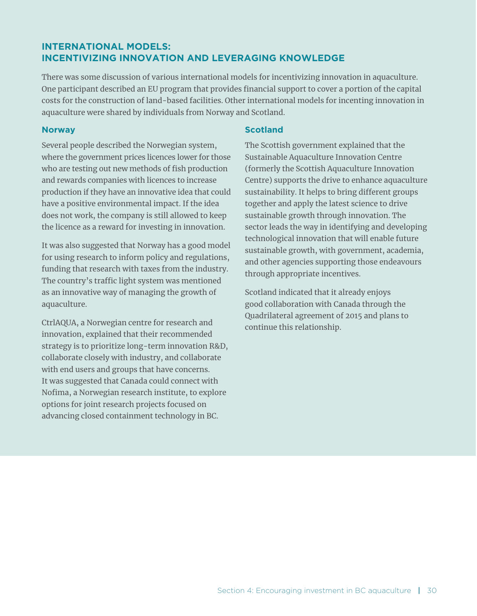# **INTERNATIONAL MODELS: INCENTIVIZING INNOVATION AND LEVERAGING KNOWLEDGE**

There was some discussion of various international models for incentivizing innovation in aquaculture. One participant described an EU program that provides financial support to cover a portion of the capital costs for the construction of land-based facilities. Other international models for incenting innovation in aquaculture were shared by individuals from Norway and Scotland.

#### **Norway**

Several people described the Norwegian system, where the government prices licences lower for those who are testing out new methods of fish production and rewards companies with licences to increase production if they have an innovative idea that could have a positive environmental impact. If the idea does not work, the company is still allowed to keep the licence as a reward for investing in innovation.

It was also suggested that Norway has a good model for using research to inform policy and regulations, funding that research with taxes from the industry. The country's traffic light system was mentioned as an innovative way of managing the growth of aquaculture.

CtrlAQUA, a Norwegian centre for research and innovation, explained that their recommended strategy is to prioritize long-term innovation R&D, collaborate closely with industry, and collaborate with end users and groups that have concerns. It was suggested that Canada could connect with Nofima, a Norwegian research institute, to explore options for joint research projects focused on advancing closed containment technology in BC.

#### **Scotland**

The Scottish government explained that the Sustainable Aquaculture Innovation Centre (formerly the Scottish Aquaculture Innovation Centre) supports the drive to enhance aquaculture sustainability. It helps to bring different groups together and apply the latest science to drive sustainable growth through innovation. The sector leads the way in identifying and developing technological innovation that will enable future sustainable growth, with government, academia, and other agencies supporting those endeavours through appropriate incentives.

Scotland indicated that it already enjoys good collaboration with Canada through the Quadrilateral agreement of 2015 and plans to continue this relationship.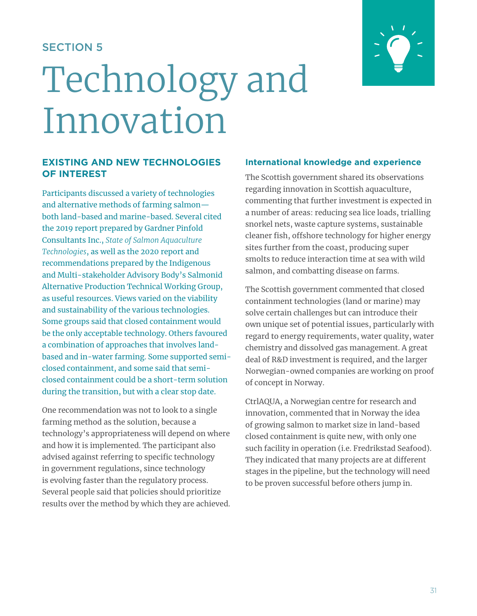# SECTION 5

# Technology and Innovation



#### **EXISTING AND NEW TECHNOLOGIES OF INTEREST**

Participants discussed a variety of technologies and alternative methods of farming salmon both land-based and marine-based. Several cited the 2019 report prepared by Gardner Pinfold Consultants Inc., *State of Salmon Aquaculture Technologies*, as well as the 2020 report and recommendations prepared by the Indigenous and Multi-stakeholder Advisory Body's Salmonid Alternative Production Technical Working Group, as useful resources. Views varied on the viability and sustainability of the various technologies. Some groups said that closed containment would be the only acceptable technology. Others favoured a combination of approaches that involves landbased and in-water farming. Some supported semiclosed containment, and some said that semiclosed containment could be a short-term solution during the transition, but with a clear stop date.

One recommendation was not to look to a single farming method as the solution, because a technology's appropriateness will depend on where and how it is implemented. The participant also advised against referring to specific technology in government regulations, since technology is evolving faster than the regulatory process. Several people said that policies should prioritize results over the method by which they are achieved.

#### **International knowledge and experience**

The Scottish government shared its observations regarding innovation in Scottish aquaculture, commenting that further investment is expected in a number of areas: reducing sea lice loads, trialling snorkel nets, waste capture systems, sustainable cleaner fish, offshore technology for higher energy sites further from the coast, producing super smolts to reduce interaction time at sea with wild salmon, and combatting disease on farms.

The Scottish government commented that closed containment technologies (land or marine) may solve certain challenges but can introduce their own unique set of potential issues, particularly with regard to energy requirements, water quality, water chemistry and dissolved gas management. A great deal of R&D investment is required, and the larger Norwegian-owned companies are working on proof of concept in Norway.

CtrlAQUA, a Norwegian centre for research and innovation, commented that in Norway the idea of growing salmon to market size in land-based closed containment is quite new, with only one such facility in operation (i.e. Fredrikstad Seafood). They indicated that many projects are at different stages in the pipeline, but the technology will need to be proven successful before others jump in.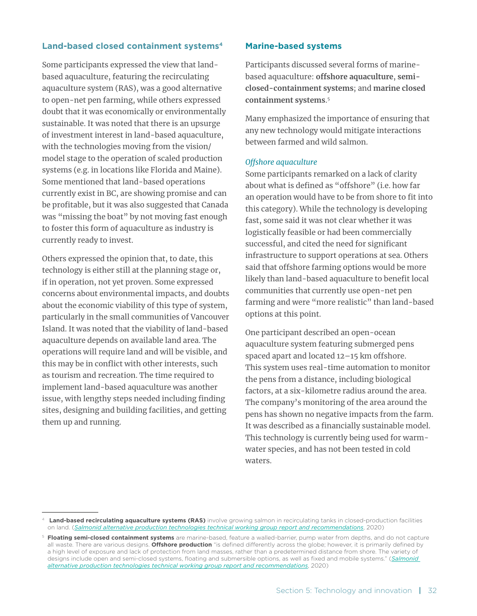#### **Land-based closed containment systems4**

Some participants expressed the view that landbased aquaculture, featuring the recirculating aquaculture system (RAS), was a good alternative to open-net pen farming, while others expressed doubt that it was economically or environmentally sustainable. It was noted that there is an upsurge of investment interest in land-based aquaculture, with the technologies moving from the vision/ model stage to the operation of scaled production systems (e.g. in locations like Florida and Maine). Some mentioned that land-based operations currently exist in BC, are showing promise and can be profitable, but it was also suggested that Canada was "missing the boat" by not moving fast enough to foster this form of aquaculture as industry is currently ready to invest.

Others expressed the opinion that, to date, this technology is either still at the planning stage or, if in operation, not yet proven. Some expressed concerns about environmental impacts, and doubts about the economic viability of this type of system, particularly in the small communities of Vancouver Island. It was noted that the viability of land-based aquaculture depends on available land area. The operations will require land and will be visible, and this may be in conflict with other interests, such as tourism and recreation. The time required to implement land-based aquaculture was another issue, with lengthy steps needed including finding sites, designing and building facilities, and getting them up and running.

#### **Marine-based systems**

Participants discussed several forms of marinebased aquaculture: **offshore aquaculture**, **semiclosed-containment systems**; and **marine closed containment systems**. 5

Many emphasized the importance of ensuring that any new technology would mitigate interactions between farmed and wild salmon.

#### *Offshore aquaculture*

Some participants remarked on a lack of clarity about what is defined as "offshore" (i.e. how far an operation would have to be from shore to fit into this category). While the technology is developing fast, some said it was not clear whether it was logistically feasible or had been commercially successful, and cited the need for significant infrastructure to support operations at sea. Others said that offshore farming options would be more likely than land-based aquaculture to benefit local communities that currently use open-net pen farming and were "more realistic" than land-based options at this point.

One participant described an open-ocean aquaculture system featuring submerged pens spaced apart and located 12–15 km offshore. This system uses real-time automation to monitor the pens from a distance, including biological factors, at a six-kilometre radius around the area. The company's monitoring of the area around the pens has shown no negative impacts from the farm. It was described as a financially sustainable model. This technology is currently being used for warmwater species, and has not been tested in cold waters.

<sup>4</sup> **Land-based recirculating aquaculture systems (RAS)** involve growing salmon in recirculating tanks in closed-production facilities on land. (*[Salmonid alternative production technologies technical working group report and recommendations](https://dfo-mpo.gc.ca/aquaculture/publications/sapt-twg-eng.html)*, 2020)

<sup>5</sup> **Floating semi-closed containment systems** are marine-based, feature a walled-barrier, pump water from depths, and do not capture all waste. There are various designs. **Offshore production** "is defined differently across the globe; however, it is primarily defined by a high level of exposure and lack of protection from land masses, rather than a predetermined distance from shore. The variety of designs include open and semi-closed systems, floating and submersible options, as well as fixed and mobile systems." (*[Salmonid](https://dfo-mpo.gc.ca/aquaculture/publications/sapt-twg-eng.html)  [alternative production technologies technical working group report and recommendations](https://dfo-mpo.gc.ca/aquaculture/publications/sapt-twg-eng.html)*, 2020)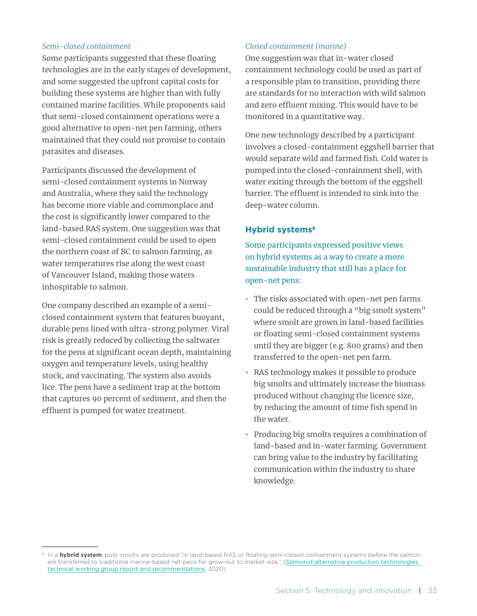#### *Semi-closed containment*

Some participants suggested that these floating technologies are in the early stages of development, and some suggested the upfront capital costs for building these systems are higher than with fully contained marine facilities. While proponents said that semi-closed containment operations were a good alternative to open-net pen farming, others maintained that they could not promise to contain parasites and diseases.

Participants discussed the development of semi-closed containment systems in Norway and Australia, where they said the technology has become more viable and commonplace and the cost is significantly lower compared to the land-based RAS system. One suggestion was that semi-closed containment could be used to open the northern coast of BC to salmon farming, as water temperatures rise along the west coast of Vancouver Island, making those waters inhospitable to salmon.

One company described an example of a semiclosed containment system that features buoyant, durable pens lined with ultra-strong polymer. Viral risk is greatly reduced by collecting the saltwater for the pens at significant ocean depth, maintaining oxygen and temperature levels, using healthy stock, and vaccinating. The system also avoids lice. The pens have a sediment trap at the bottom that captures 90 percent of sediment, and then the effluent is pumped for water treatment.

#### *Closed containment (marine)*

One suggestion was that in-water closed containment technology could be used as part of a responsible plan to transition, providing there are standards for no interaction with wild salmon and zero effluent mixing. This would have to be monitored in a quantitative way.

One new technology described by a participant involves a closed-containment eggshell barrier that would separate wild and farmed fish. Cold water is pumped into the closed-containment shell, with water exiting through the bottom of the eggshell barrier. The effluent is intended to sink into the deep-water column.

#### **Hybrid systems<sup>6</sup>**

Some participants expressed positive views on hybrid systems as a way to create a more sustainable industry that still has a place for open-net pens:

- The risks associated with open-net pen farms could be reduced through a "big smolt system" where smolt are grown in land-based facilities or floating semi-closed containment systems until they are bigger (e.g. 800 grams) and then transferred to the open-net pen farm.
- RAS technology makes it possible to produce big smolts and ultimately increase the biomass produced without changing the licence size, by reducing the amount of time fish spend in the water.
- Producing big smolts requires a combination of land-based and in-water farming. Government can bring value to the industry by facilitating communication within the industry to share knowledge.

<sup>&</sup>lt;sup>6</sup> In a **hybrid system**, post-smolts are produced "in land-based RAS or floating semi-closed containment systems before the salmon are transferred to traditional marine-based net-pens for grow-out to market-size." (Salmonid alternative production technologies [technical working group report and recommendations](https://dfo-mpo.gc.ca/aquaculture/publications/sapt-twg-eng.html), 2020)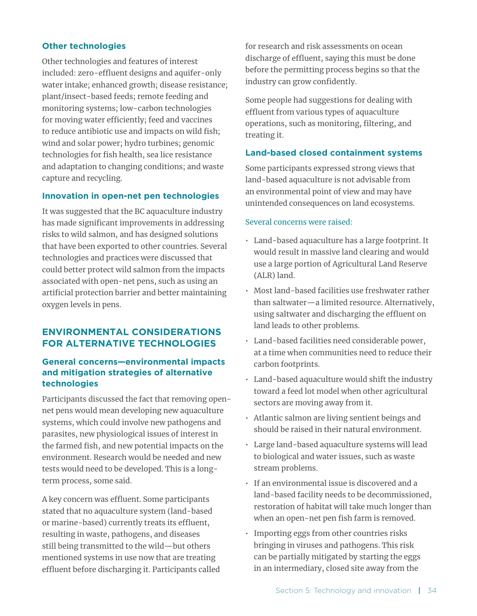#### **Other technologies**

Other technologies and features of interest included: zero-effluent designs and aquifer-only water intake; enhanced growth; disease resistance; plant/insect-based feeds; remote feeding and monitoring systems; low-carbon technologies for moving water efficiently; feed and vaccines to reduce antibiotic use and impacts on wild fish; wind and solar power; hydro turbines; genomic technologies for fish health, sea lice resistance and adaptation to changing conditions; and waste capture and recycling.

#### **Innovation in open-net pen technologies**

It was suggested that the BC aquaculture industry has made significant improvements in addressing risks to wild salmon, and has designed solutions that have been exported to other countries. Several technologies and practices were discussed that could better protect wild salmon from the impacts associated with open-net pens, such as using an artificial protection barrier and better maintaining oxygen levels in pens.

#### **ENVIRONMENTAL CONSIDERATIONS FOR ALTERNATIVE TECHNOLOGIES**

#### **General concerns—environmental impacts and mitigation strategies of alternative technologies**

Participants discussed the fact that removing opennet pens would mean developing new aquaculture systems, which could involve new pathogens and parasites, new physiological issues of interest in the farmed fish, and new potential impacts on the environment. Research would be needed and new tests would need to be developed. This is a longterm process, some said.

A key concern was effluent. Some participants stated that no aquaculture system (land-based or marine-based) currently treats its effluent, resulting in waste, pathogens, and diseases still being transmitted to the wild—but others mentioned systems in use now that are treating effluent before discharging it. Participants called for research and risk assessments on ocean discharge of effluent, saying this must be done before the permitting process begins so that the industry can grow confidently.

Some people had suggestions for dealing with effluent from various types of aquaculture operations, such as monitoring, filtering, and treating it.

#### **Land-based closed containment systems**

Some participants expressed strong views that land-based aquaculture is not advisable from an environmental point of view and may have unintended consequences on land ecosystems.

#### Several concerns were raised:

- Land-based aquaculture has a large footprint. It would result in massive land clearing and would use a large portion of Agricultural Land Reserve (ALR) land.
- Most land-based facilities use freshwater rather than saltwater—a limited resource. Alternatively, using saltwater and discharging the effluent on land leads to other problems.
- Land-based facilities need considerable power, at a time when communities need to reduce their carbon footprints.
- Land-based aquaculture would shift the industry toward a feed lot model when other agricultural sectors are moving away from it.
- Atlantic salmon are living sentient beings and should be raised in their natural environment.
- Large land-based aquaculture systems will lead to biological and water issues, such as waste stream problems.
- If an environmental issue is discovered and a land-based facility needs to be decommissioned, restoration of habitat will take much longer than when an open-net pen fish farm is removed.
- Importing eggs from other countries risks bringing in viruses and pathogens. This risk can be partially mitigated by starting the eggs in an intermediary, closed site away from the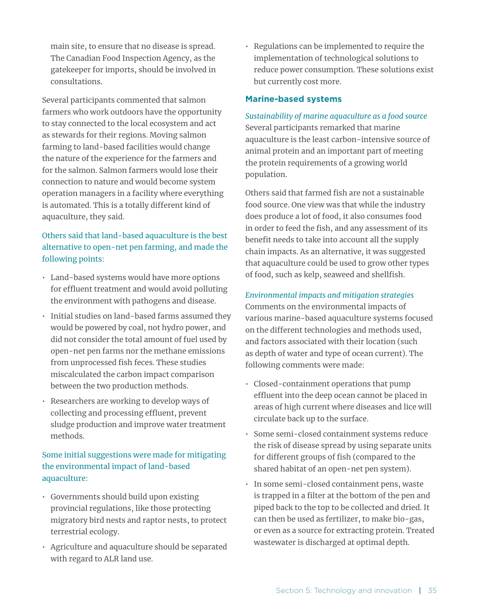main site, to ensure that no disease is spread. The Canadian Food Inspection Agency, as the gatekeeper for imports, should be involved in consultations.

Several participants commented that salmon farmers who work outdoors have the opportunity to stay connected to the local ecosystem and act as stewards for their regions. Moving salmon farming to land-based facilities would change the nature of the experience for the farmers and for the salmon. Salmon farmers would lose their connection to nature and would become system operation managers in a facility where everything is automated. This is a totally different kind of aquaculture, they said.

# Others said that land-based aquaculture is the best alternative to open-net pen farming, and made the following points:

- Land-based systems would have more options for effluent treatment and would avoid polluting the environment with pathogens and disease.
- Initial studies on land-based farms assumed they would be powered by coal, not hydro power, and did not consider the total amount of fuel used by open-net pen farms nor the methane emissions from unprocessed fish feces. These studies miscalculated the carbon impact comparison between the two production methods.
- Researchers are working to develop ways of collecting and processing effluent, prevent sludge production and improve water treatment methods.

# Some initial suggestions were made for mitigating the environmental impact of land-based aquaculture:

- Governments should build upon existing provincial regulations, like those protecting migratory bird nests and raptor nests, to protect terrestrial ecology.
- Agriculture and aquaculture should be separated with regard to ALR land use.

• Regulations can be implemented to require the implementation of technological solutions to reduce power consumption. These solutions exist but currently cost more.

#### **Marine-based systems**

*Sustainability of marine aquaculture as a food source* Several participants remarked that marine aquaculture is the least carbon-intensive source of animal protein and an important part of meeting the protein requirements of a growing world population.

Others said that farmed fish are not a sustainable food source. One view was that while the industry does produce a lot of food, it also consumes food in order to feed the fish, and any assessment of its benefit needs to take into account all the supply chain impacts. As an alternative, it was suggested that aquaculture could be used to grow other types of food, such as kelp, seaweed and shellfish.

#### *Environmental impacts and mitigation strategies*

Comments on the environmental impacts of various marine-based aquaculture systems focused on the different technologies and methods used, and factors associated with their location (such as depth of water and type of ocean current). The following comments were made:

- Closed-containment operations that pump effluent into the deep ocean cannot be placed in areas of high current where diseases and lice will circulate back up to the surface.
- Some semi-closed containment systems reduce the risk of disease spread by using separate units for different groups of fish (compared to the shared habitat of an open-net pen system).
- In some semi-closed containment pens, waste is trapped in a filter at the bottom of the pen and piped back to the top to be collected and dried. It can then be used as fertilizer, to make bio-gas, or even as a source for extracting protein. Treated wastewater is discharged at optimal depth.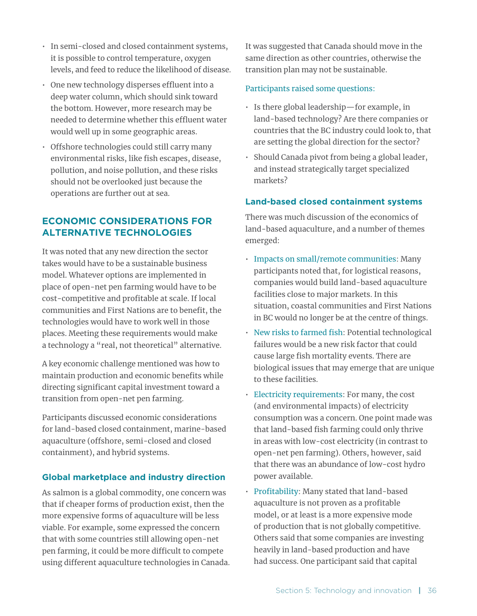- In semi-closed and closed containment systems, it is possible to control temperature, oxygen levels, and feed to reduce the likelihood of disease.
- One new technology disperses effluent into a deep water column, which should sink toward the bottom. However, more research may be needed to determine whether this effluent water would well up in some geographic areas.
- Offshore technologies could still carry many environmental risks, like fish escapes, disease, pollution, and noise pollution, and these risks should not be overlooked just because the operations are further out at sea.

# **ECONOMIC CONSIDERATIONS FOR ALTERNATIVE TECHNOLOGIES**

It was noted that any new direction the sector takes would have to be a sustainable business model. Whatever options are implemented in place of open-net pen farming would have to be cost-competitive and profitable at scale. If local communities and First Nations are to benefit, the technologies would have to work well in those places. Meeting these requirements would make a technology a "real, not theoretical" alternative.

A key economic challenge mentioned was how to maintain production and economic benefits while directing significant capital investment toward a transition from open-net pen farming.

Participants discussed economic considerations for land-based closed containment, marine-based aquaculture (offshore, semi-closed and closed containment), and hybrid systems.

### **Global marketplace and industry direction**

As salmon is a global commodity, one concern was that if cheaper forms of production exist, then the more expensive forms of aquaculture will be less viable. For example, some expressed the concern that with some countries still allowing open-net pen farming, it could be more difficult to compete using different aquaculture technologies in Canada. It was suggested that Canada should move in the same direction as other countries, otherwise the transition plan may not be sustainable.

#### Participants raised some questions:

- Is there global leadership—for example, in land-based technology? Are there companies or countries that the BC industry could look to, that are setting the global direction for the sector?
- Should Canada pivot from being a global leader, and instead strategically target specialized markets?

#### **Land-based closed containment systems**

There was much discussion of the economics of land-based aquaculture, and a number of themes emerged:

- Impacts on small/remote communities: Many participants noted that, for logistical reasons, companies would build land-based aquaculture facilities close to major markets. In this situation, coastal communities and First Nations in BC would no longer be at the centre of things.
- New risks to farmed fish: Potential technological failures would be a new risk factor that could cause large fish mortality events. There are biological issues that may emerge that are unique to these facilities.
- Electricity requirements: For many, the cost (and environmental impacts) of electricity consumption was a concern. One point made was that land-based fish farming could only thrive in areas with low-cost electricity (in contrast to open-net pen farming). Others, however, said that there was an abundance of low-cost hydro power available.
- Profitability: Many stated that land-based aquaculture is not proven as a profitable model, or at least is a more expensive mode of production that is not globally competitive. Others said that some companies are investing heavily in land-based production and have had success. One participant said that capital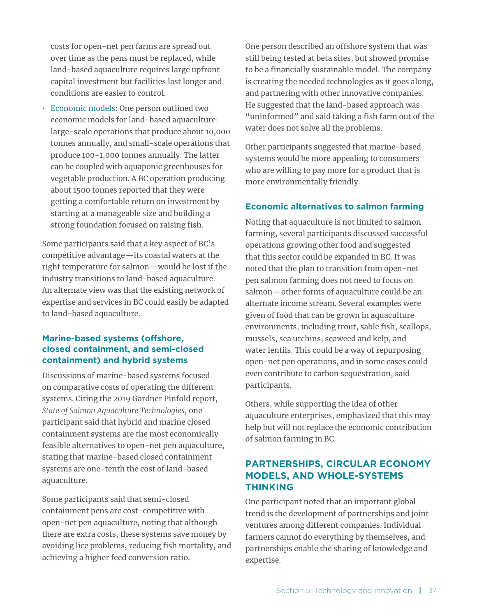costs for open-net pen farms are spread out over time as the pens must be replaced, while land-based aquaculture requires large upfront capital investment but facilities last longer and conditions are easier to control.

• Economic models: One person outlined two economic models for land-based aquaculture: large-scale operations that produce about 10,000 tonnes annually, and small-scale operations that produce 100-1,000 tonnes annually. The latter can be coupled with aquaponic greenhouses for vegetable production. A BC operation producing about 1500 tonnes reported that they were getting a comfortable return on investment by starting at a manageable size and building a strong foundation focused on raising fish.

Some participants said that a key aspect of BC's competitive advantage—its coastal waters at the right temperature for salmon—would be lost if the industry transitions to land-based aquaculture. An alternate view was that the existing network of expertise and services in BC could easily be adapted to land-based aquaculture.

#### **Marine-based systems (offshore, closed containment, and semi-closed containment) and hybrid systems**

Discussions of marine-based systems focused on comparative costs of operating the different systems. Citing the 2019 Gardner Pinfold report, *State of Salmon Aquaculture Technologies*, one participant said that hybrid and marine closed containment systems are the most economically feasible alternatives to open-net pen aquaculture, stating that marine-based closed containment systems are one-tenth the cost of land-based aquaculture.

Some participants said that semi-closed containment pens are cost-competitive with open-net pen aquaculture, noting that although there are extra costs, these systems save money by avoiding lice problems, reducing fish mortality, and achieving a higher feed conversion ratio.

One person described an offshore system that was still being tested at beta sites, but showed promise to be a financially sustainable model. The company is creating the needed technologies as it goes along, and partnering with other innovative companies. He suggested that the land-based approach was "uninformed" and said taking a fish farm out of the water does not solve all the problems.

Other participants suggested that marine-based systems would be more appealing to consumers who are willing to pay more for a product that is more environmentally friendly.

#### **Economic alternatives to salmon farming**

Noting that aquaculture is not limited to salmon farming, several participants discussed successful operations growing other food and suggested that this sector could be expanded in BC. It was noted that the plan to transition from open-net pen salmon farming does not need to focus on salmon—other forms of aquaculture could be an alternate income stream. Several examples were given of food that can be grown in aquaculture environments, including trout, sable fish, scallops, mussels, sea urchins, seaweed and kelp, and water lentils. This could be a way of repurposing open-net pen operations, and in some cases could even contribute to carbon sequestration, said participants.

Others, while supporting the idea of other aquaculture enterprises, emphasized that this may help but will not replace the economic contribution of salmon farming in BC.

# **PARTNERSHIPS, CIRCULAR ECONOMY MODELS, AND WHOLE-SYSTEMS THINKING**

One participant noted that an important global trend is the development of partnerships and joint ventures among different companies. Individual farmers cannot do everything by themselves, and partnerships enable the sharing of knowledge and expertise.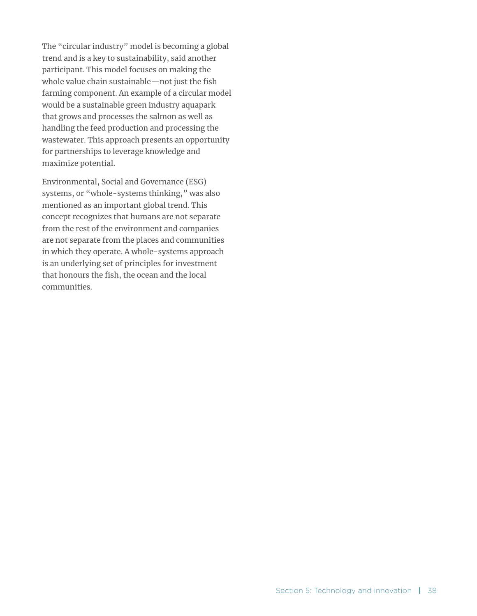The "circular industry" model is becoming a global trend and is a key to sustainability, said another participant. This model focuses on making the whole value chain sustainable—not just the fish farming component. An example of a circular model would be a sustainable green industry aquapark that grows and processes the salmon as well as handling the feed production and processing the wastewater. This approach presents an opportunity for partnerships to leverage knowledge and maximize potential.

Environmental, Social and Governance (ESG) systems, or "whole-systems thinking," was also mentioned as an important global trend. This concept recognizes that humans are not separate from the rest of the environment and companies are not separate from the places and communities in which they operate. A whole-systems approach is an underlying set of principles for investment that honours the fish, the ocean and the local communities.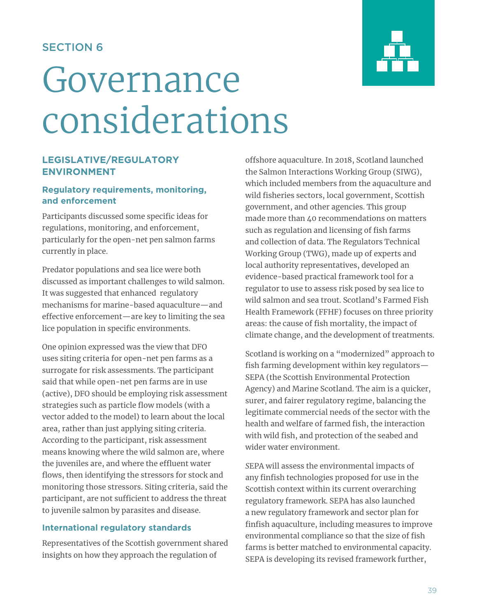# SECTION 6

# Governance considerations

# **LEGISLATIVE/REGULATORY ENVIRONMENT**

#### **Regulatory requirements, monitoring, and enforcement**

Participants discussed some specific ideas for regulations, monitoring, and enforcement, particularly for the open-net pen salmon farms currently in place.

Predator populations and sea lice were both discussed as important challenges to wild salmon. It was suggested that enhanced regulatory mechanisms for marine-based aquaculture—and effective enforcement—are key to limiting the sea lice population in specific environments.

One opinion expressed was the view that DFO uses siting criteria for open-net pen farms as a surrogate for risk assessments. The participant said that while open-net pen farms are in use (active), DFO should be employing risk assessment strategies such as particle flow models (with a vector added to the model) to learn about the local area, rather than just applying siting criteria. According to the participant, risk assessment means knowing where the wild salmon are, where the juveniles are, and where the effluent water flows, then identifying the stressors for stock and monitoring those stressors. Siting criteria, said the participant, are not sufficient to address the threat to juvenile salmon by parasites and disease.

### **International regulatory standards**

Representatives of the Scottish government shared insights on how they approach the regulation of

offshore aquaculture. In 2018, Scotland launched the Salmon Interactions Working Group (SIWG), which included members from the aquaculture and wild fisheries sectors, local government, Scottish government, and other agencies. This group made more than 40 recommendations on matters such as regulation and licensing of fish farms and collection of data. The Regulators Technical Working Group (TWG), made up of experts and local authority representatives, developed an evidence-based practical framework tool for a regulator to use to assess risk posed by sea lice to wild salmon and sea trout. Scotland's Farmed Fish Health Framework (FFHF) focuses on three priority areas: the cause of fish mortality, the impact of climate change, and the development of treatments.

Scotland is working on a "modernized" approach to fish farming development within key regulators— SEPA (the Scottish Environmental Protection Agency) and Marine Scotland. The aim is a quicker, surer, and fairer regulatory regime, balancing the legitimate commercial needs of the sector with the health and welfare of farmed fish, the interaction with wild fish, and protection of the seabed and wider water environment.

*S*EPA will assess the environmental impacts of any finfish technologies proposed for use in the Scottish context within its current overarching regulatory framework. SEPA has also launched a new regulatory framework and sector plan for finfish aquaculture, including measures to improve environmental compliance so that the size of fish farms is better matched to environmental capacity. SEPA is developing its revised framework further,

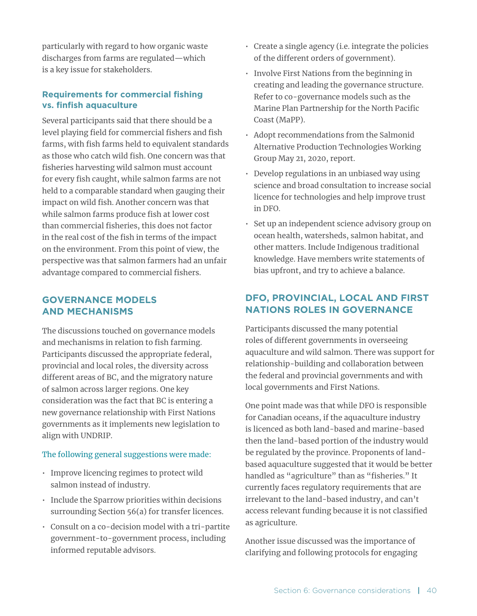particularly with regard to how organic waste discharges from farms are regulated—which is a key issue for stakeholders.

#### **Requirements for commercial fishing vs. finfish aquaculture**

Several participants said that there should be a level playing field for commercial fishers and fish farms, with fish farms held to equivalent standards as those who catch wild fish. One concern was that fisheries harvesting wild salmon must account for every fish caught, while salmon farms are not held to a comparable standard when gauging their impact on wild fish. Another concern was that while salmon farms produce fish at lower cost than commercial fisheries, this does not factor in the real cost of the fish in terms of the impact on the environment. From this point of view, the perspective was that salmon farmers had an unfair advantage compared to commercial fishers.

### **GOVERNANCE MODELS AND MECHANISMS**

The discussions touched on governance models and mechanisms in relation to fish farming. Participants discussed the appropriate federal, provincial and local roles, the diversity across different areas of BC, and the migratory nature of salmon across larger regions. One key consideration was the fact that BC is entering a new governance relationship with First Nations governments as it implements new legislation to align with UNDRIP.

#### The following general suggestions were made:

- Improve licencing regimes to protect wild salmon instead of industry.
- Include the Sparrow priorities within decisions surrounding Section 56(a) for transfer licences.
- Consult on a co-decision model with a tri-partite government-to-government process, including informed reputable advisors.
- Create a single agency (i.e. integrate the policies of the different orders of government).
- Involve First Nations from the beginning in creating and leading the governance structure. Refer to co-governance models such as the Marine Plan Partnership for the North Pacific Coast (MaPP).
- Adopt recommendations from the Salmonid Alternative Production Technologies Working Group May 21, 2020, report.
- Develop regulations in an unbiased way using science and broad consultation to increase social licence for technologies and help improve trust in DFO.
- Set up an independent science advisory group on ocean health, watersheds, salmon habitat, and other matters. Include Indigenous traditional knowledge. Have members write statements of bias upfront, and try to achieve a balance.

# **DFO, PROVINCIAL, LOCAL AND FIRST NATIONS ROLES IN GOVERNANCE**

Participants discussed the many potential roles of different governments in overseeing aquaculture and wild salmon. There was support for relationship-building and collaboration between the federal and provincial governments and with local governments and First Nations.

One point made was that while DFO is responsible for Canadian oceans, if the aquaculture industry is licenced as both land-based and marine-based then the land-based portion of the industry would be regulated by the province. Proponents of landbased aquaculture suggested that it would be better handled as "agriculture" than as "fisheries." It currently faces regulatory requirements that are irrelevant to the land-based industry, and can't access relevant funding because it is not classified as agriculture.

Another issue discussed was the importance of clarifying and following protocols for engaging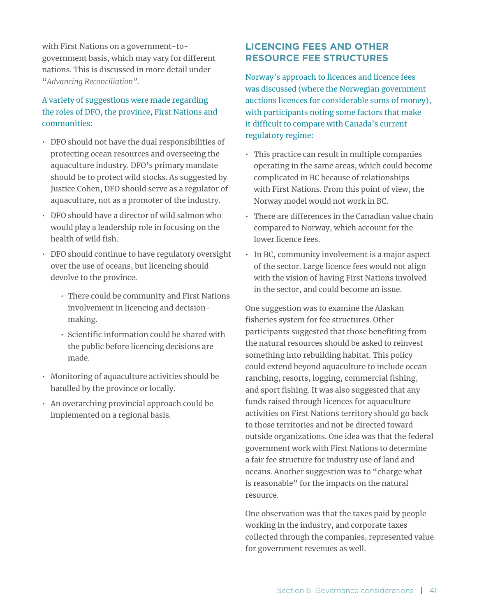with First Nations on a government-togovernment basis, which may vary for different nations. This is discussed in more detail under "*Advancing Reconciliation"*.

# A variety of suggestions were made regarding the roles of DFO, the province, First Nations and communities:

- DFO should not have the dual responsibilities of protecting ocean resources and overseeing the aquaculture industry. DFO's primary mandate should be to protect wild stocks. As suggested by Justice Cohen, DFO should serve as a regulator of aquaculture, not as a promoter of the industry.
- DFO should have a director of wild salmon who would play a leadership role in focusing on the health of wild fish.
- DFO should continue to have regulatory oversight over the use of oceans, but licencing should devolve to the province.
	- There could be community and First Nations involvement in licencing and decisionmaking.
	- Scientific information could be shared with the public before licencing decisions are made.
- Monitoring of aquaculture activities should be handled by the province or locally.
- An overarching provincial approach could be implemented on a regional basis.

# **LICENCING FEES AND OTHER RESOURCE FEE STRUCTURES**

Norway's approach to licences and licence fees was discussed (where the Norwegian government auctions licences for considerable sums of money), with participants noting some factors that make it difficult to compare with Canada's current regulatory regime:

- This practice can result in multiple companies operating in the same areas, which could become complicated in BC because of relationships with First Nations. From this point of view, the Norway model would not work in BC.
- There are differences in the Canadian value chain compared to Norway, which account for the lower licence fees.
- In BC, community involvement is a major aspect of the sector. Large licence fees would not align with the vision of having First Nations involved in the sector, and could become an issue.

One suggestion was to examine the Alaskan fisheries system for fee structures. Other participants suggested that those benefiting from the natural resources should be asked to reinvest something into rebuilding habitat. This policy could extend beyond aquaculture to include ocean ranching, resorts, logging, commercial fishing, and sport fishing. It was also suggested that any funds raised through licences for aquaculture activities on First Nations territory should go back to those territories and not be directed toward outside organizations. One idea was that the federal government work with First Nations to determine a fair fee structure for industry use of land and oceans. Another suggestion was to "charge what is reasonable" for the impacts on the natural resource.

One observation was that the taxes paid by people working in the industry, and corporate taxes collected through the companies, represented value for government revenues as well.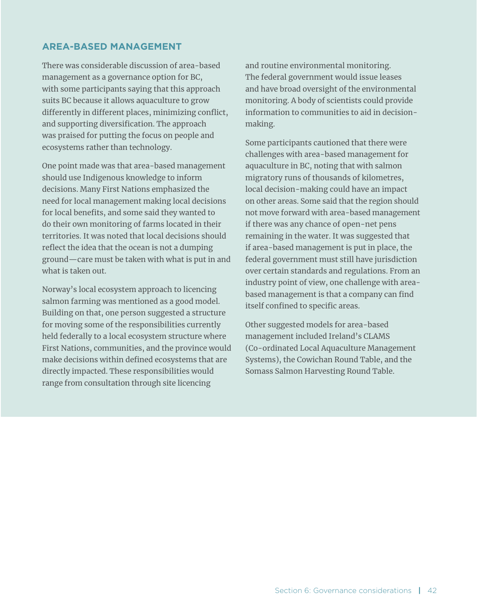#### **AREA-BASED MANAGEMENT**

There was considerable discussion of area-based management as a governance option for BC, with some participants saying that this approach suits BC because it allows aquaculture to grow differently in different places, minimizing conflict, and supporting diversification. The approach was praised for putting the focus on people and ecosystems rather than technology.

One point made was that area-based management should use Indigenous knowledge to inform decisions. Many First Nations emphasized the need for local management making local decisions for local benefits, and some said they wanted to do their own monitoring of farms located in their territories. It was noted that local decisions should reflect the idea that the ocean is not a dumping ground—care must be taken with what is put in and what is taken out.

Norway's local ecosystem approach to licencing salmon farming was mentioned as a good model. Building on that, one person suggested a structure for moving some of the responsibilities currently held federally to a local ecosystem structure where First Nations, communities, and the province would make decisions within defined ecosystems that are directly impacted. These responsibilities would range from consultation through site licencing

and routine environmental monitoring. The federal government would issue leases and have broad oversight of the environmental monitoring. A body of scientists could provide information to communities to aid in decisionmaking.

Some participants cautioned that there were challenges with area-based management for aquaculture in BC, noting that with salmon migratory runs of thousands of kilometres, local decision-making could have an impact on other areas. Some said that the region should not move forward with area-based management if there was any chance of open-net pens remaining in the water. It was suggested that if area-based management is put in place, the federal government must still have jurisdiction over certain standards and regulations. From an industry point of view, one challenge with areabased management is that a company can find itself confined to specific areas.

Other suggested models for area-based management included Ireland's CLAMS (Co-ordinated Local Aquaculture Management Systems), the Cowichan Round Table, and the Somass Salmon Harvesting Round Table.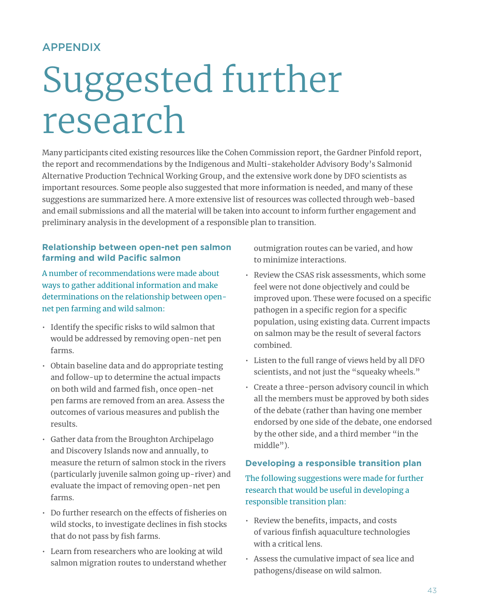# APPENDIX

# Suggested further research

Many participants cited existing resources like the Cohen Commission report, the Gardner Pinfold report, the report and recommendations by the Indigenous and Multi-stakeholder Advisory Body's Salmonid Alternative Production Technical Working Group, and the extensive work done by DFO scientists as important resources. Some people also suggested that more information is needed, and many of these suggestions are summarized here. A more extensive list of resources was collected through web-based and email submissions and all the material will be taken into account to inform further engagement and preliminary analysis in the development of a responsible plan to transition.

# **Relationship between open-net pen salmon farming and wild Pacific salmon**

A number of recommendations were made about ways to gather additional information and make determinations on the relationship between opennet pen farming and wild salmon:

- Identify the specific risks to wild salmon that would be addressed by removing open-net pen farms.
- Obtain baseline data and do appropriate testing and follow-up to determine the actual impacts on both wild and farmed fish, once open-net pen farms are removed from an area. Assess the outcomes of various measures and publish the results.
- Gather data from the Broughton Archipelago and Discovery Islands now and annually, to measure the return of salmon stock in the rivers (particularly juvenile salmon going up-river) and evaluate the impact of removing open-net pen farms.
- Do further research on the effects of fisheries on wild stocks, to investigate declines in fish stocks that do not pass by fish farms.
- Learn from researchers who are looking at wild salmon migration routes to understand whether

outmigration routes can be varied, and how to minimize interactions.

- Review the CSAS risk assessments, which some feel were not done objectively and could be improved upon. These were focused on a specific pathogen in a specific region for a specific population, using existing data. Current impacts on salmon may be the result of several factors combined.
- Listen to the full range of views held by all DFO scientists, and not just the "squeaky wheels."
- Create a three-person advisory council in which all the members must be approved by both sides of the debate (rather than having one member endorsed by one side of the debate, one endorsed by the other side, and a third member "in the middle").

#### **Developing a responsible transition plan**

The following suggestions were made for further research that would be useful in developing a responsible transition plan:

- Review the benefits, impacts, and costs of various finfish aquaculture technologies with a critical lens.
- Assess the cumulative impact of sea lice and pathogens/disease on wild salmon.